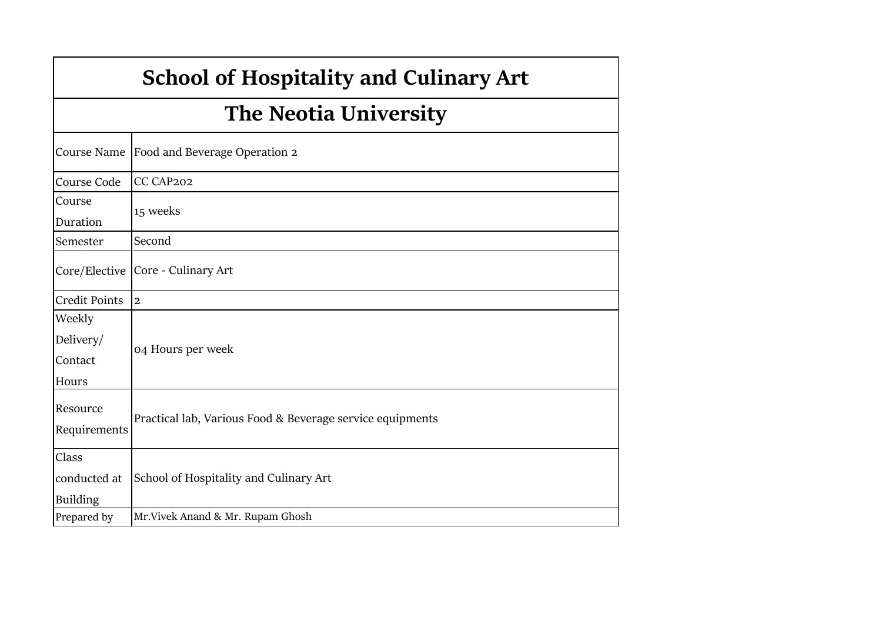|                                         | <b>School of Hospitality and Culinary Art</b>             |  |  |  |  |  |  |
|-----------------------------------------|-----------------------------------------------------------|--|--|--|--|--|--|
|                                         | <b>The Neotia University</b>                              |  |  |  |  |  |  |
| Course Name                             | Food and Beverage Operation 2                             |  |  |  |  |  |  |
| Course Code                             | CC CAP202                                                 |  |  |  |  |  |  |
| Course<br>Duration                      | 15 weeks                                                  |  |  |  |  |  |  |
| Semester                                | Second                                                    |  |  |  |  |  |  |
| Core/Elective                           | Core - Culinary Art                                       |  |  |  |  |  |  |
| <b>Credit Points</b>                    | $\overline{2}$                                            |  |  |  |  |  |  |
| Weekly<br>Delivery/<br>Contact<br>Hours | 04 Hours per week                                         |  |  |  |  |  |  |
| Resource<br>Requirements                | Practical lab, Various Food & Beverage service equipments |  |  |  |  |  |  |
| Class                                   |                                                           |  |  |  |  |  |  |
| conducted at                            | School of Hospitality and Culinary Art                    |  |  |  |  |  |  |
| <b>Building</b>                         |                                                           |  |  |  |  |  |  |
| Prepared by                             | Mr. Vivek Anand & Mr. Rupam Ghosh                         |  |  |  |  |  |  |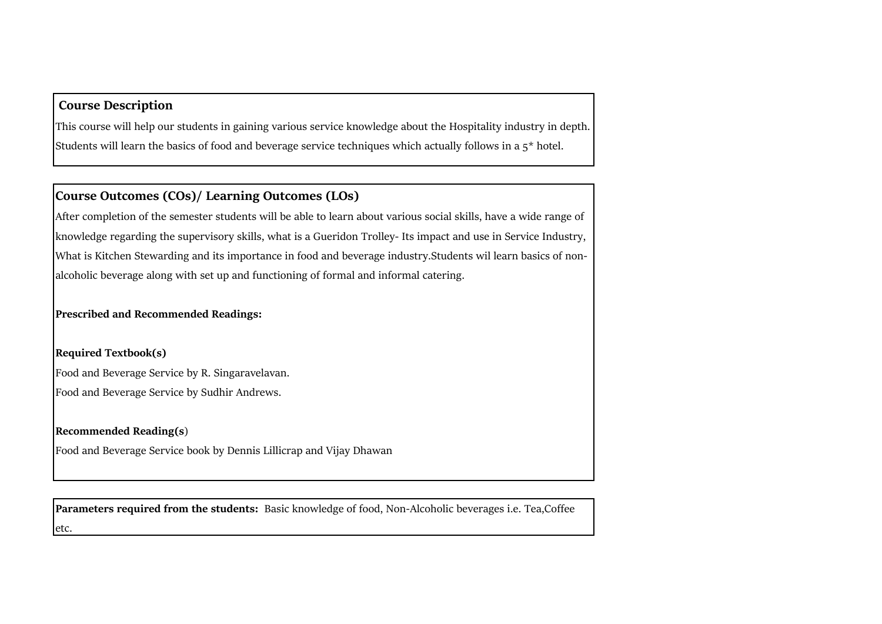## **Course Description**

This course will help our students in gaining various service knowledge about the Hospitality industry in depth. Students will learn the basics of food and beverage service techniques which actually follows in a  $5^*$  hotel.

## **Course Outcomes (COs)/ Learning Outcomes (LOs)**

After completion of the semester students will be able to learn about various social skills, have a wide range of knowledge regarding the supervisory skills, what is a Gueridon Trolley- Its impact and use in Service Industry, What is Kitchen Stewarding and its importance in food and beverage industry.Students wil learn basics of nonalcoholic beverage along with set up and functioning of formal and informal catering.

**Prescribed and Recommended Readings:**

**Required Textbook(s)**

Food and Beverage Service by R. Singaravelavan. Food and Beverage Service by Sudhir Andrews.

## **Recommended Reading(s**)

Food and Beverage Service book by Dennis Lillicrap and Vijay Dhawan

**Parameters required from the students:** Basic knowledge of food, Non-Alcoholic beverages i.e. Tea,Coffee etc.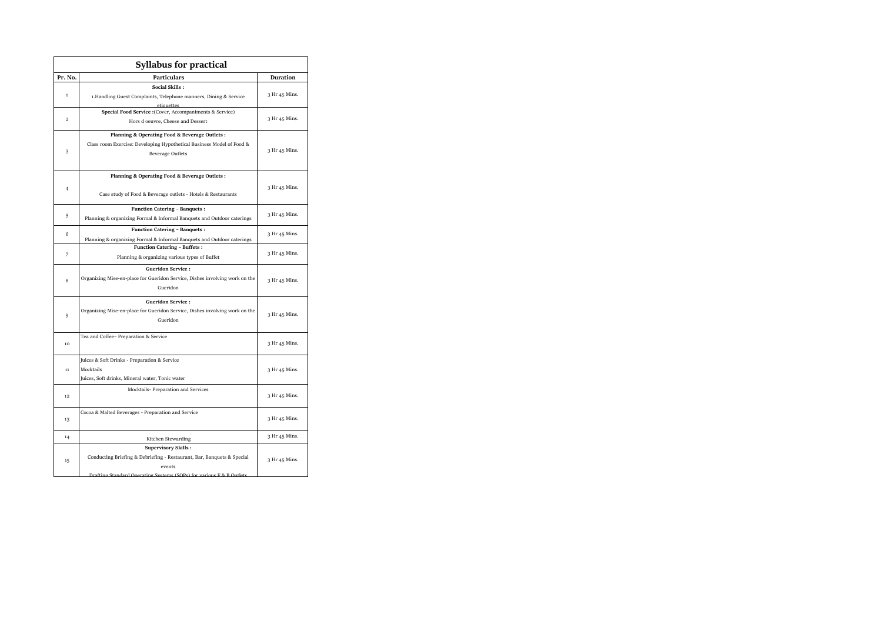|                | <b>Syllabus for practical</b>                                                                                                                                                           |               |
|----------------|-----------------------------------------------------------------------------------------------------------------------------------------------------------------------------------------|---------------|
| Pr. No.        | <b>Particulars</b>                                                                                                                                                                      | Duration      |
| $\mathbf 1$    | <b>Social Skills:</b><br>1.Handling Guest Complaints, Telephone manners, Dining & Service<br>etiquettes                                                                                 | 3 Hr 45 Mins. |
| $\overline{a}$ | Special Food Service : (Cover, Accompaniments & Service)<br>Hors d oeuvre, Cheese and Dessert                                                                                           | 3 Hr 45 Mins. |
| 3              | Planning & Operating Food & Beverage Outlets :<br>Class room Exercise: Developing Hypothetical Business Model of Food &<br><b>Beverage Outlets</b>                                      | 3 Hr 45 Mins. |
| $\overline{4}$ | Planning & Operating Food & Beverage Outlets :<br>Case study of Food & Beverage outlets - Hotels & Restaurants                                                                          | 3 Hr 45 Mins. |
| 5              | <b>Function Catering - Banquets:</b><br>Planning & organizing Formal & Informal Banquets and Outdoor caterings                                                                          | 3 Hr 45 Mins. |
| 6              | <b>Function Catering - Banquets:</b><br>Planning & organizing Formal & Informal Banquets and Outdoor caterings                                                                          | 3 Hr 45 Mins. |
| 7              | <b>Function Catering - Buffets:</b><br>Planning & organizing various types of Buffet                                                                                                    | 3 Hr 45 Mins. |
| 8              | <b>Gueridon Service:</b><br>Organizing Mise-en-place for Gueridon Service, Dishes involving work on the<br>Gueridon                                                                     | 3 Hr 45 Mins. |
| 9              | <b>Gueridon Service:</b><br>Organizing Mise-en-place for Gueridon Service, Dishes involving work on the<br>Gueridon                                                                     | 3 Hr 45 Mins. |
| 10             | Tea and Coffee- Preparation & Service                                                                                                                                                   | 3 Hr 45 Mins. |
| 11             | Juices & Soft Drinks - Preparation & Service<br>Mocktails<br>Juices, Soft drinks, Mineral water, Tonic water                                                                            | 3 Hr 45 Mins. |
| 12             | Mocktails- Preparation and Services                                                                                                                                                     | 3 Hr 45 Mins. |
| 13             | Cocoa & Malted Beverages - Preparation and Service                                                                                                                                      | 3 Hr 45 Mins. |
| 14             | Kitchen Stewarding                                                                                                                                                                      | 3 Hr 45 Mins. |
| 15             | <b>Supervisory Skills:</b><br>Conducting Briefing & Debriefing - Restaurant, Bar, Banquets & Special<br>events<br>Drafting Standard Operating Systems (SOPs) for various E.8, B Outlets | 3 Hr 45 Mins. |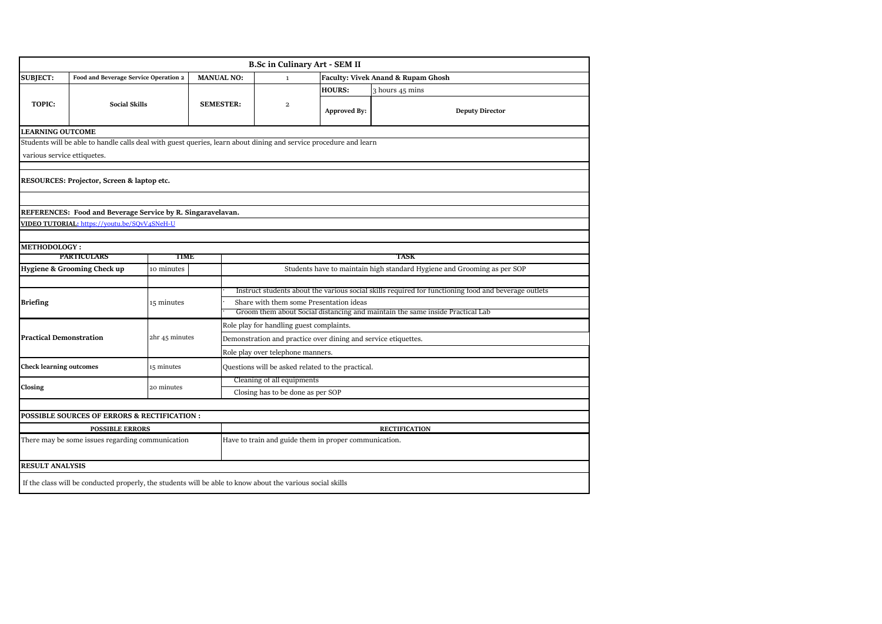|                                |                                                                                                                   |                |                   |                                                                                                                          | <b>B.Sc in Culinary Art - SEM II</b>                                                                 |                     |                                                                         |  |  |  |
|--------------------------------|-------------------------------------------------------------------------------------------------------------------|----------------|-------------------|--------------------------------------------------------------------------------------------------------------------------|------------------------------------------------------------------------------------------------------|---------------------|-------------------------------------------------------------------------|--|--|--|
| <b>SUBJECT:</b>                | Food and Beverage Service Operation 2                                                                             |                | <b>MANUAL NO:</b> |                                                                                                                          | $\mathbf{1}$                                                                                         |                     | Faculty: Vivek Anand & Rupam Ghosh                                      |  |  |  |
|                                |                                                                                                                   |                |                   |                                                                                                                          |                                                                                                      | <b>HOURS:</b>       | 3 hours 45 mins                                                         |  |  |  |
| <b>TOPIC:</b>                  | <b>Social Skills</b>                                                                                              |                |                   | <b>SEMESTER:</b>                                                                                                         | $\overline{a}$                                                                                       | <b>Approved By:</b> | <b>Deputy Director</b>                                                  |  |  |  |
| <b>LEARNING OUTCOME</b>        |                                                                                                                   |                |                   |                                                                                                                          |                                                                                                      |                     |                                                                         |  |  |  |
|                                | Students will be able to handle calls deal with guest queries, learn about dining and service procedure and learn |                |                   |                                                                                                                          |                                                                                                      |                     |                                                                         |  |  |  |
| various service ettiquetes.    |                                                                                                                   |                |                   |                                                                                                                          |                                                                                                      |                     |                                                                         |  |  |  |
|                                |                                                                                                                   |                |                   |                                                                                                                          |                                                                                                      |                     |                                                                         |  |  |  |
|                                | RESOURCES: Projector, Screen & laptop etc.                                                                        |                |                   |                                                                                                                          |                                                                                                      |                     |                                                                         |  |  |  |
|                                |                                                                                                                   |                |                   |                                                                                                                          |                                                                                                      |                     |                                                                         |  |  |  |
|                                | REFERENCES: Food and Beverage Service by R. Singaravelavan.                                                       |                |                   |                                                                                                                          |                                                                                                      |                     |                                                                         |  |  |  |
|                                | VIDEO TUTORIAL: https://youtu.be/SQvV4SNeH-U                                                                      |                |                   |                                                                                                                          |                                                                                                      |                     |                                                                         |  |  |  |
|                                |                                                                                                                   |                |                   |                                                                                                                          |                                                                                                      |                     |                                                                         |  |  |  |
| <b>METHODOLOGY:</b>            |                                                                                                                   |                |                   |                                                                                                                          |                                                                                                      |                     |                                                                         |  |  |  |
|                                | <b>PARTICULARS</b>                                                                                                | TIME           |                   |                                                                                                                          |                                                                                                      |                     | TASK                                                                    |  |  |  |
|                                | Hygiene & Grooming Check up                                                                                       | 10 minutes     |                   |                                                                                                                          |                                                                                                      |                     | Students have to maintain high standard Hygiene and Grooming as per SOP |  |  |  |
|                                |                                                                                                                   |                |                   |                                                                                                                          |                                                                                                      |                     |                                                                         |  |  |  |
|                                |                                                                                                                   |                |                   |                                                                                                                          | Instruct students about the various social skills required tor functioning food and beverage outlets |                     |                                                                         |  |  |  |
| <b>Briefing</b>                |                                                                                                                   | 15 minutes     |                   | Share with them some Presentation ideas<br>Groom them about Social distancing and maintain the same inside Practical Lab |                                                                                                      |                     |                                                                         |  |  |  |
|                                |                                                                                                                   |                |                   | Role play for handling guest complaints.                                                                                 |                                                                                                      |                     |                                                                         |  |  |  |
| <b>Practical Demonstration</b> |                                                                                                                   | 2hr 45 minutes |                   | Demonstration and practice over dining and service etiquettes.                                                           |                                                                                                      |                     |                                                                         |  |  |  |
|                                |                                                                                                                   |                |                   | Role play over telephone manners.                                                                                        |                                                                                                      |                     |                                                                         |  |  |  |
| <b>Check learning outcomes</b> |                                                                                                                   | 15 minutes     |                   |                                                                                                                          | Questions will be asked related to the practical.                                                    |                     |                                                                         |  |  |  |
|                                |                                                                                                                   |                |                   | Cleaning of all equipments                                                                                               |                                                                                                      |                     |                                                                         |  |  |  |
| Closing                        |                                                                                                                   | 20 minutes     |                   |                                                                                                                          | Closing has to be done as per SOP                                                                    |                     |                                                                         |  |  |  |
|                                |                                                                                                                   |                |                   |                                                                                                                          |                                                                                                      |                     |                                                                         |  |  |  |
|                                | POSSIBLE SOURCES OF ERRORS & RECTIFICATION :                                                                      |                |                   |                                                                                                                          |                                                                                                      |                     |                                                                         |  |  |  |
|                                | <b>POSSIBLE ERRORS</b>                                                                                            |                |                   |                                                                                                                          |                                                                                                      |                     | <b>RECTIFICATION</b>                                                    |  |  |  |
|                                | There may be some issues regarding communication                                                                  |                |                   | Have to train and guide them in proper communication.                                                                    |                                                                                                      |                     |                                                                         |  |  |  |
| <b>RESULT ANALYSIS</b>         |                                                                                                                   |                |                   |                                                                                                                          |                                                                                                      |                     |                                                                         |  |  |  |
|                                | If the class will be conducted properly, the students will be able to know about the various social skills        |                |                   |                                                                                                                          |                                                                                                      |                     |                                                                         |  |  |  |
|                                |                                                                                                                   |                |                   |                                                                                                                          |                                                                                                      |                     |                                                                         |  |  |  |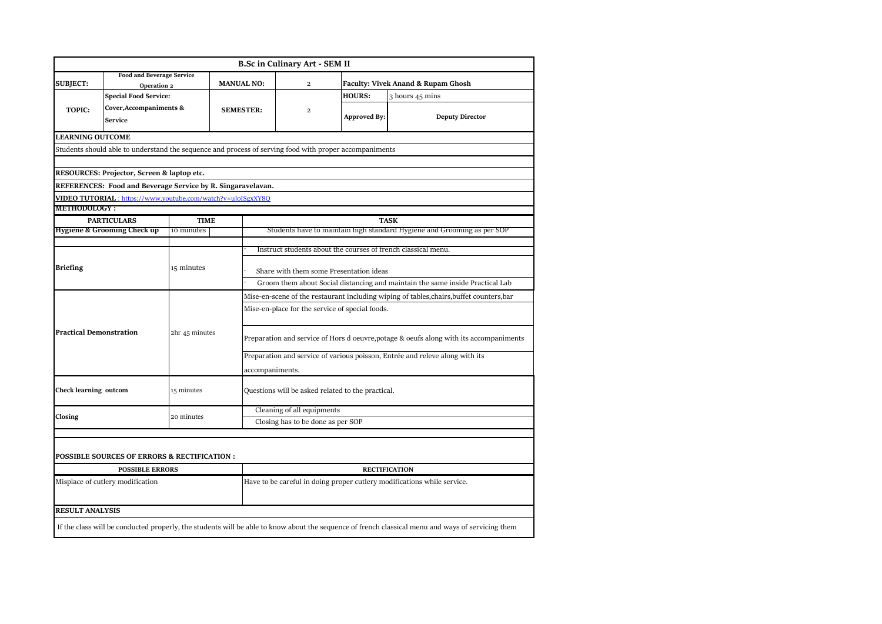|                                |                                                                                                        |                |                  |                                                                                        | <b>B.Sc in Culinary Art - SEM II</b>                                                     |                     |                                                                                                                                                   |  |  |  |
|--------------------------------|--------------------------------------------------------------------------------------------------------|----------------|------------------|----------------------------------------------------------------------------------------|------------------------------------------------------------------------------------------|---------------------|---------------------------------------------------------------------------------------------------------------------------------------------------|--|--|--|
|                                | <b>Food and Beverage Service</b>                                                                       |                |                  | <b>MANUAL NO:</b>                                                                      | $\overline{a}$                                                                           |                     |                                                                                                                                                   |  |  |  |
| <b>SUBJECT:</b>                | Operation 2                                                                                            |                |                  |                                                                                        |                                                                                          |                     | <b>Faculty: Vivek Anand &amp; Rupam Ghosh</b>                                                                                                     |  |  |  |
|                                | <b>Special Food Service:</b>                                                                           |                |                  |                                                                                        |                                                                                          | <b>HOURS:</b>       | 3 hours 45 mins                                                                                                                                   |  |  |  |
| <b>TOPIC:</b>                  | Cover, Accompaniments &                                                                                |                | <b>SEMESTER:</b> |                                                                                        | $\overline{a}$                                                                           | <b>Approved By:</b> | <b>Deputy Director</b>                                                                                                                            |  |  |  |
|                                | <b>Service</b>                                                                                         |                |                  |                                                                                        |                                                                                          |                     |                                                                                                                                                   |  |  |  |
| <b>LEARNING OUTCOME</b>        |                                                                                                        |                |                  |                                                                                        |                                                                                          |                     |                                                                                                                                                   |  |  |  |
|                                | Students should able to understand the sequence and process of serving food with proper accompaniments |                |                  |                                                                                        |                                                                                          |                     |                                                                                                                                                   |  |  |  |
|                                |                                                                                                        |                |                  |                                                                                        |                                                                                          |                     |                                                                                                                                                   |  |  |  |
|                                | RESOURCES: Projector, Screen & laptop etc.                                                             |                |                  |                                                                                        |                                                                                          |                     |                                                                                                                                                   |  |  |  |
|                                | REFERENCES: Food and Beverage Service by R. Singaravelavan.                                            |                |                  |                                                                                        |                                                                                          |                     |                                                                                                                                                   |  |  |  |
|                                | VIDEO TUTORIAL: https://www.youtube.com/watch?v=uJoISgxXY8Q                                            |                |                  |                                                                                        |                                                                                          |                     |                                                                                                                                                   |  |  |  |
| <b>METHODOLOGY:</b>            |                                                                                                        |                |                  |                                                                                        |                                                                                          |                     |                                                                                                                                                   |  |  |  |
|                                | <b>PARTICULARS</b>                                                                                     | <b>TIME</b>    |                  |                                                                                        |                                                                                          |                     | <b>TASK</b>                                                                                                                                       |  |  |  |
|                                | Hygiene & Grooming Check up                                                                            | 10 minutes     |                  |                                                                                        |                                                                                          |                     | Students have to maintain high standard Hygiene and Grooming as per SOP                                                                           |  |  |  |
|                                |                                                                                                        |                |                  |                                                                                        | Instruct students about the courses of french classical menu.                            |                     |                                                                                                                                                   |  |  |  |
|                                |                                                                                                        |                |                  |                                                                                        |                                                                                          |                     |                                                                                                                                                   |  |  |  |
| <b>Briefing</b>                |                                                                                                        | 15 minutes     |                  | Share with them some Presentation ideas                                                |                                                                                          |                     |                                                                                                                                                   |  |  |  |
|                                |                                                                                                        |                |                  | Groom them about Social distancing and maintain the same inside Practical Lab          |                                                                                          |                     |                                                                                                                                                   |  |  |  |
|                                |                                                                                                        |                |                  |                                                                                        | Mise-en-scene of the restaurant including wiping of tables, chairs, buffet counters, bar |                     |                                                                                                                                                   |  |  |  |
|                                |                                                                                                        | 2hr 45 minutes |                  | Mise-en-place for the service of special foods.                                        |                                                                                          |                     |                                                                                                                                                   |  |  |  |
| <b>Practical Demonstration</b> |                                                                                                        |                |                  |                                                                                        |                                                                                          |                     |                                                                                                                                                   |  |  |  |
|                                |                                                                                                        |                |                  | Preparation and service of Hors d oeuvre, potage & oeufs along with its accompaniments |                                                                                          |                     |                                                                                                                                                   |  |  |  |
|                                |                                                                                                        |                |                  | Preparation and service of various poisson, Entrée and releve along with its           |                                                                                          |                     |                                                                                                                                                   |  |  |  |
|                                |                                                                                                        |                |                  | accompaniments.                                                                        |                                                                                          |                     |                                                                                                                                                   |  |  |  |
|                                |                                                                                                        |                |                  |                                                                                        |                                                                                          |                     |                                                                                                                                                   |  |  |  |
| <b>Check learning outcom</b>   |                                                                                                        | 15 minutes     |                  |                                                                                        | Questions will be asked related to the practical.                                        |                     |                                                                                                                                                   |  |  |  |
|                                |                                                                                                        |                |                  |                                                                                        | Cleaning of all equipments                                                               |                     |                                                                                                                                                   |  |  |  |
| Closing                        |                                                                                                        | 20 minutes     |                  | Closing has to be done as per SOP                                                      |                                                                                          |                     |                                                                                                                                                   |  |  |  |
|                                |                                                                                                        |                |                  |                                                                                        |                                                                                          |                     |                                                                                                                                                   |  |  |  |
|                                |                                                                                                        |                |                  |                                                                                        |                                                                                          |                     |                                                                                                                                                   |  |  |  |
|                                | POSSIBLE SOURCES OF ERRORS & RECTIFICATION :                                                           |                |                  |                                                                                        |                                                                                          |                     |                                                                                                                                                   |  |  |  |
|                                | <b>POSSIBLE ERRORS</b>                                                                                 |                |                  |                                                                                        |                                                                                          |                     | <b>RECTIFICATION</b>                                                                                                                              |  |  |  |
|                                | Misplace of cutlery modification                                                                       |                |                  |                                                                                        |                                                                                          |                     | Have to be careful in doing proper cutlery modifications while service.                                                                           |  |  |  |
|                                |                                                                                                        |                |                  |                                                                                        |                                                                                          |                     |                                                                                                                                                   |  |  |  |
| <b>RESULT ANALYSIS</b>         |                                                                                                        |                |                  |                                                                                        |                                                                                          |                     |                                                                                                                                                   |  |  |  |
|                                |                                                                                                        |                |                  |                                                                                        |                                                                                          |                     | If the class will be conducted properly, the students will be able to know about the sequence of french classical menu and ways of servicing them |  |  |  |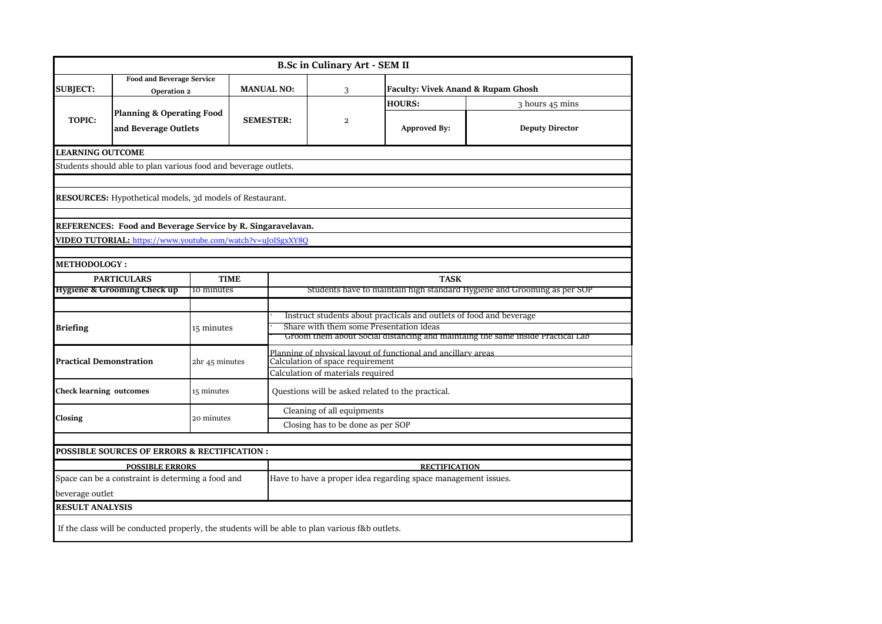|                                                   |                                                                 |                |                                                               | <b>B.Sc in Culinary Art - SEM II</b>                                                                           |                                               |                        |  |  |  |  |
|---------------------------------------------------|-----------------------------------------------------------------|----------------|---------------------------------------------------------------|----------------------------------------------------------------------------------------------------------------|-----------------------------------------------|------------------------|--|--|--|--|
| <b>SUBJECT:</b>                                   | <b>Food and Beverage Service</b><br>Operation 2                 |                | <b>MANUAL NO:</b>                                             | 3                                                                                                              | <b>Faculty: Vivek Anand &amp; Rupam Ghosh</b> |                        |  |  |  |  |
|                                                   |                                                                 |                |                                                               |                                                                                                                | <b>HOURS:</b>                                 | 3 hours 45 mins        |  |  |  |  |
| <b>TOPIC:</b>                                     | <b>Planning &amp; Operating Food</b><br>and Beverage Outlets    |                | <b>SEMESTER:</b>                                              | $\overline{\mathbf{c}}$                                                                                        | Approved By:                                  | <b>Deputy Director</b> |  |  |  |  |
| <b>LEARNING OUTCOME</b>                           |                                                                 |                |                                                               |                                                                                                                |                                               |                        |  |  |  |  |
|                                                   | Students should able to plan various food and beverage outlets. |                |                                                               |                                                                                                                |                                               |                        |  |  |  |  |
|                                                   |                                                                 |                |                                                               |                                                                                                                |                                               |                        |  |  |  |  |
|                                                   | <b>RESOURCES:</b> Hypothetical models, 3d models of Restaurant. |                |                                                               |                                                                                                                |                                               |                        |  |  |  |  |
|                                                   |                                                                 |                |                                                               |                                                                                                                |                                               |                        |  |  |  |  |
|                                                   | REFERENCES: Food and Beverage Service by R. Singaravelavan.     |                |                                                               |                                                                                                                |                                               |                        |  |  |  |  |
|                                                   | VIDEO TUTORIAL: https://www.youtube.com/watch?v=uJoISgxXY8Q     |                |                                                               |                                                                                                                |                                               |                        |  |  |  |  |
| <b>METHODOLOGY:</b>                               |                                                                 |                |                                                               |                                                                                                                |                                               |                        |  |  |  |  |
|                                                   | <b>PARTICULARS</b><br><b>TIME</b>                               |                |                                                               | <b>TASK</b>                                                                                                    |                                               |                        |  |  |  |  |
|                                                   | Hygiene & Grooming Check up                                     | 10 minutes     |                                                               | Students have to maintain high standard Hygiene and Grooming as per SOP                                        |                                               |                        |  |  |  |  |
|                                                   |                                                                 |                |                                                               |                                                                                                                |                                               |                        |  |  |  |  |
|                                                   |                                                                 |                |                                                               | Instruct students about practicals and outlets of food and beverage<br>Share with them some Presentation ideas |                                               |                        |  |  |  |  |
| <b>Briefing</b>                                   |                                                                 | 15 minutes     |                                                               | Groom them about Social distancing and maintaing the same inside Practical Lab                                 |                                               |                        |  |  |  |  |
|                                                   |                                                                 |                |                                                               | Planning of physical layout of functional and ancillary areas                                                  |                                               |                        |  |  |  |  |
|                                                   | <b>Practical Demonstration</b>                                  | 2hr 45 minutes |                                                               | Calculation of space requirement                                                                               |                                               |                        |  |  |  |  |
|                                                   |                                                                 |                |                                                               | Calculation of materials required                                                                              |                                               |                        |  |  |  |  |
| <b>Check learning outcomes</b>                    |                                                                 | 15 minutes     |                                                               | Questions will be asked related to the practical.                                                              |                                               |                        |  |  |  |  |
|                                                   |                                                                 |                |                                                               | Cleaning of all equipments                                                                                     |                                               |                        |  |  |  |  |
| Closing                                           |                                                                 | 20 minutes     |                                                               | Closing has to be done as per SOP                                                                              |                                               |                        |  |  |  |  |
|                                                   |                                                                 |                |                                                               |                                                                                                                |                                               |                        |  |  |  |  |
|                                                   | <b>POSSIBLE SOURCES OF ERRORS &amp; RECTIFICATION :</b>         |                |                                                               |                                                                                                                |                                               |                        |  |  |  |  |
| <b>POSSIBLE ERRORS</b>                            |                                                                 |                |                                                               |                                                                                                                | <b>RECTIFICATION</b>                          |                        |  |  |  |  |
| Space can be a constraint is determing a food and |                                                                 |                | Have to have a proper idea regarding space management issues. |                                                                                                                |                                               |                        |  |  |  |  |
|                                                   |                                                                 |                |                                                               |                                                                                                                |                                               |                        |  |  |  |  |
| beverage outlet<br><b>RESULT ANALYSIS</b>         |                                                                 |                |                                                               |                                                                                                                |                                               |                        |  |  |  |  |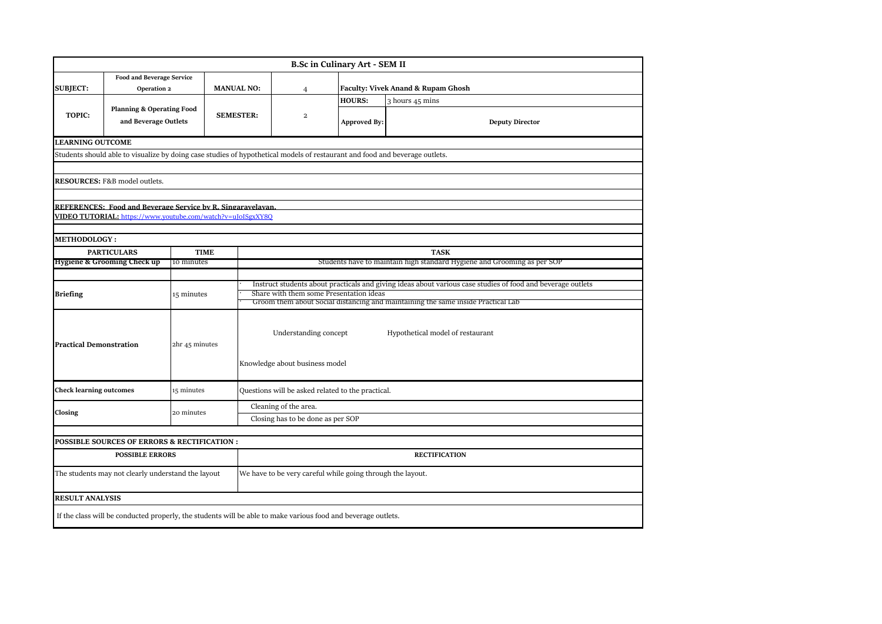|                                |                                                                                                                             |                |             |                                                                                                             |                                                                                                                             | <b>B.Sc in Culinary Art - SEM II</b> |                                                                         |  |  |  |  |
|--------------------------------|-----------------------------------------------------------------------------------------------------------------------------|----------------|-------------|-------------------------------------------------------------------------------------------------------------|-----------------------------------------------------------------------------------------------------------------------------|--------------------------------------|-------------------------------------------------------------------------|--|--|--|--|
| <b>SUBJECT:</b>                | <b>Food and Beverage Service</b><br>Operation 2                                                                             |                |             | <b>MANUAL NO:</b>                                                                                           | $\overline{4}$                                                                                                              |                                      | <b>Faculty: Vivek Anand &amp; Rupam Ghosh</b>                           |  |  |  |  |
|                                |                                                                                                                             |                |             |                                                                                                             |                                                                                                                             | <b>HOURS:</b>                        | 3 hours 45 mins                                                         |  |  |  |  |
| TOPIC:                         | <b>Planning &amp; Operating Food</b><br>and Beverage Outlets                                                                |                |             | <b>SEMESTER:</b>                                                                                            | $\overline{a}$                                                                                                              | <b>Approved By:</b>                  | <b>Deputy Director</b>                                                  |  |  |  |  |
| <b>LEARNING OUTCOME</b>        |                                                                                                                             |                |             |                                                                                                             |                                                                                                                             |                                      |                                                                         |  |  |  |  |
|                                | Students should able to visualize by doing case studies of hypothetical models of restaurant and food and beverage outlets. |                |             |                                                                                                             |                                                                                                                             |                                      |                                                                         |  |  |  |  |
|                                |                                                                                                                             |                |             |                                                                                                             |                                                                                                                             |                                      |                                                                         |  |  |  |  |
|                                | RESOURCES: F&B model outlets.                                                                                               |                |             |                                                                                                             |                                                                                                                             |                                      |                                                                         |  |  |  |  |
|                                |                                                                                                                             |                |             |                                                                                                             |                                                                                                                             |                                      |                                                                         |  |  |  |  |
|                                | REFERENCES: Food and Beverage Service by R. Singaravelavan                                                                  |                |             |                                                                                                             |                                                                                                                             |                                      |                                                                         |  |  |  |  |
|                                | VIDEO TUTORIAL: https://www.youtube.com/watch?v=uJoISgxXY8Q                                                                 |                |             |                                                                                                             |                                                                                                                             |                                      |                                                                         |  |  |  |  |
|                                |                                                                                                                             |                |             |                                                                                                             |                                                                                                                             |                                      |                                                                         |  |  |  |  |
| <b>METHODOLOGY:</b>            |                                                                                                                             |                |             |                                                                                                             |                                                                                                                             |                                      |                                                                         |  |  |  |  |
|                                | <b>PARTICULARS</b>                                                                                                          |                | <b>TIME</b> |                                                                                                             |                                                                                                                             |                                      | <b>TASK</b>                                                             |  |  |  |  |
|                                | <b>Hygiene &amp; Grooming Check up</b>                                                                                      | 10 minutes     |             |                                                                                                             |                                                                                                                             |                                      | Students have to maintain high standard Hygiene and Grooming as per SOP |  |  |  |  |
|                                |                                                                                                                             |                |             |                                                                                                             |                                                                                                                             |                                      |                                                                         |  |  |  |  |
|                                |                                                                                                                             |                |             | Instruct students about practicals and giving ideas about various case studies of food and beverage outlets |                                                                                                                             |                                      |                                                                         |  |  |  |  |
| <b>Briefing</b>                |                                                                                                                             |                | 15 minutes  |                                                                                                             | Share with them some Presentation ideas<br>Groom them about Social distancing and maintaining the same inside Practical Lab |                                      |                                                                         |  |  |  |  |
| <b>Practical Demonstration</b> |                                                                                                                             | 2hr 45 minutes |             |                                                                                                             | Understanding concept<br>Knowledge about business model                                                                     |                                      | Hypothetical model of restaurant                                        |  |  |  |  |
| <b>Check learning outcomes</b> |                                                                                                                             | 15 minutes     |             |                                                                                                             | Questions will be asked related to the practical.                                                                           |                                      |                                                                         |  |  |  |  |
|                                |                                                                                                                             |                |             | Cleaning of the area.                                                                                       |                                                                                                                             |                                      |                                                                         |  |  |  |  |
| Closing                        |                                                                                                                             | 20 minutes     |             | Closing has to be done as per SOP                                                                           |                                                                                                                             |                                      |                                                                         |  |  |  |  |
|                                |                                                                                                                             |                |             |                                                                                                             |                                                                                                                             |                                      |                                                                         |  |  |  |  |
|                                | POSSIBLE SOURCES OF ERRORS & RECTIFICATION :                                                                                |                |             |                                                                                                             |                                                                                                                             |                                      |                                                                         |  |  |  |  |
|                                | <b>POSSIBLE ERRORS</b>                                                                                                      |                |             |                                                                                                             |                                                                                                                             |                                      | <b>RECTIFICATION</b>                                                    |  |  |  |  |
|                                | The students may not clearly understand the layout                                                                          |                |             | We have to be very careful while going through the layout.                                                  |                                                                                                                             |                                      |                                                                         |  |  |  |  |
| <b>RESULT ANALYSIS</b>         |                                                                                                                             |                |             |                                                                                                             |                                                                                                                             |                                      |                                                                         |  |  |  |  |
|                                |                                                                                                                             |                |             |                                                                                                             |                                                                                                                             |                                      |                                                                         |  |  |  |  |
|                                | If the class will be conducted properly, the students will be able to make various food and beverage outlets.               |                |             |                                                                                                             |                                                                                                                             |                                      |                                                                         |  |  |  |  |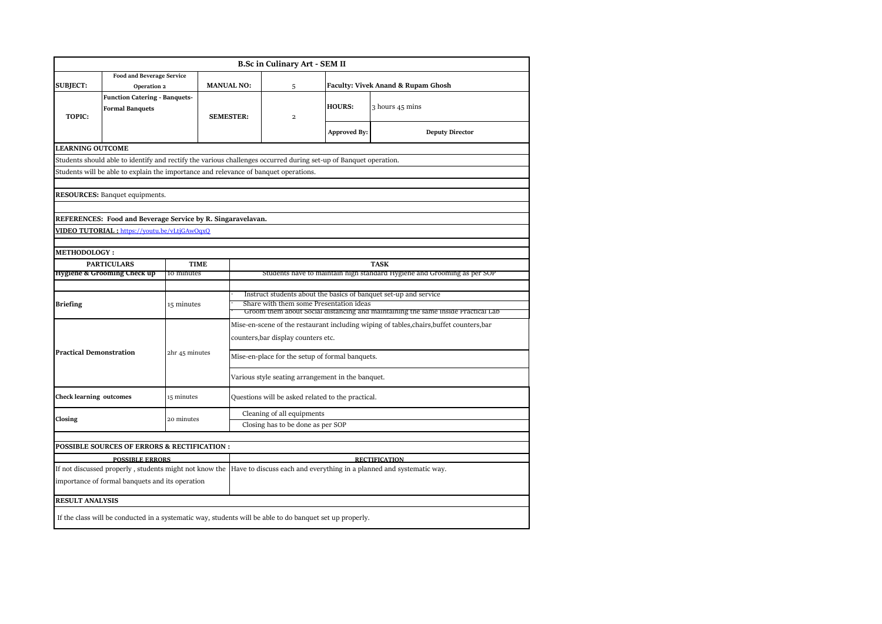|                                              |                                                                                                                                                                                                          |             |                |                                                                                                                                                                                                 | <b>B.Sc in Culinary Art - SEM II</b>            |                     |                                                                      |  |  |  |
|----------------------------------------------|----------------------------------------------------------------------------------------------------------------------------------------------------------------------------------------------------------|-------------|----------------|-------------------------------------------------------------------------------------------------------------------------------------------------------------------------------------------------|-------------------------------------------------|---------------------|----------------------------------------------------------------------|--|--|--|
| <b>SUBJECT:</b>                              | <b>Food and Beverage Service</b><br>Operation 2                                                                                                                                                          |             |                | <b>MANUAL NO:</b>                                                                                                                                                                               | 5                                               |                     | <b>Faculty: Vivek Anand &amp; Rupam Ghosh</b>                        |  |  |  |
| <b>TOPIC:</b>                                | <b>Function Catering - Banquets-</b><br><b>Formal Banquets</b>                                                                                                                                           |             |                | <b>SEMESTER:</b>                                                                                                                                                                                | $\overline{\mathbf{c}}$                         | <b>HOURS:</b>       | 3 hours 45 mins                                                      |  |  |  |
|                                              |                                                                                                                                                                                                          |             |                |                                                                                                                                                                                                 |                                                 | <b>Approved By:</b> | <b>Deputy Director</b>                                               |  |  |  |
| <b>LEARNING OUTCOME</b>                      |                                                                                                                                                                                                          |             |                |                                                                                                                                                                                                 |                                                 |                     |                                                                      |  |  |  |
|                                              | Students should able to identify and rectify the various challenges occurred during set-up of Banquet operation.<br>Students will be able to explain the importance and relevance of banquet operations. |             |                |                                                                                                                                                                                                 |                                                 |                     |                                                                      |  |  |  |
|                                              |                                                                                                                                                                                                          |             |                |                                                                                                                                                                                                 |                                                 |                     |                                                                      |  |  |  |
|                                              | <b>RESOURCES:</b> Banquet equipments.                                                                                                                                                                    |             |                |                                                                                                                                                                                                 |                                                 |                     |                                                                      |  |  |  |
|                                              |                                                                                                                                                                                                          |             |                |                                                                                                                                                                                                 |                                                 |                     |                                                                      |  |  |  |
|                                              | REFERENCES: Food and Beverage Service by R. Singaravelavan.                                                                                                                                              |             |                |                                                                                                                                                                                                 |                                                 |                     |                                                                      |  |  |  |
| VIDEO TUTORIAL: https://youtu.be/vLtjGAwOgxQ |                                                                                                                                                                                                          |             |                |                                                                                                                                                                                                 |                                                 |                     |                                                                      |  |  |  |
|                                              |                                                                                                                                                                                                          |             |                |                                                                                                                                                                                                 |                                                 |                     |                                                                      |  |  |  |
| <b>METHODOLOGY :</b>                         |                                                                                                                                                                                                          | <b>TIME</b> |                |                                                                                                                                                                                                 |                                                 |                     |                                                                      |  |  |  |
|                                              | <b>PARTICULARS</b><br>Hygiene & Grooming Check up                                                                                                                                                        | 10 minutes  |                | <b>TASK</b><br>Students have to maintain high standard Hygiene and Grooming as per SOP                                                                                                          |                                                 |                     |                                                                      |  |  |  |
|                                              |                                                                                                                                                                                                          |             |                |                                                                                                                                                                                                 |                                                 |                     |                                                                      |  |  |  |
| <b>Briefing</b>                              |                                                                                                                                                                                                          | 15 minutes  |                | Instruct students about the basics of banquet set-up and service<br>Share with them some Presentation ideas<br>Groom them about social distancing and maintaining the same inside Practical Lab |                                                 |                     |                                                                      |  |  |  |
|                                              |                                                                                                                                                                                                          |             |                | Mise-en-scene of the restaurant including wiping of tables, chairs, buffet counters, bar                                                                                                        |                                                 |                     |                                                                      |  |  |  |
|                                              |                                                                                                                                                                                                          |             |                | counters, bar display counters etc.                                                                                                                                                             |                                                 |                     |                                                                      |  |  |  |
| <b>Practical Demonstration</b>               |                                                                                                                                                                                                          |             | 2hr 45 minutes |                                                                                                                                                                                                 | Mise-en-place for the setup of formal banquets. |                     |                                                                      |  |  |  |
|                                              |                                                                                                                                                                                                          |             |                | Various style seating arrangement in the banquet.                                                                                                                                               |                                                 |                     |                                                                      |  |  |  |
| <b>Check learning outcomes</b>               |                                                                                                                                                                                                          | 15 minutes  |                | Questions will be asked related to the practical.                                                                                                                                               |                                                 |                     |                                                                      |  |  |  |
| Closing                                      |                                                                                                                                                                                                          | 20 minutes  |                | Cleaning of all equipments                                                                                                                                                                      |                                                 |                     |                                                                      |  |  |  |
|                                              |                                                                                                                                                                                                          |             |                | Closing has to be done as per SOP                                                                                                                                                               |                                                 |                     |                                                                      |  |  |  |
|                                              | <b>POSSIBLE SOURCES OF ERRORS &amp; RECTIFICATION :</b>                                                                                                                                                  |             |                |                                                                                                                                                                                                 |                                                 |                     |                                                                      |  |  |  |
|                                              | <b>POSSIBLE ERRORS</b>                                                                                                                                                                                   |             |                |                                                                                                                                                                                                 |                                                 |                     | <b>RECTIFICATION</b>                                                 |  |  |  |
|                                              | If not discussed properly, students might not know the                                                                                                                                                   |             |                |                                                                                                                                                                                                 |                                                 |                     | Have to discuss each and everything in a planned and systematic way. |  |  |  |
|                                              | importance of formal banquets and its operation                                                                                                                                                          |             |                |                                                                                                                                                                                                 |                                                 |                     |                                                                      |  |  |  |
| <b>RESULT ANALYSIS</b>                       |                                                                                                                                                                                                          |             |                |                                                                                                                                                                                                 |                                                 |                     |                                                                      |  |  |  |
|                                              | If the class will be conducted in a systematic way, students will be able to do banquet set up properly.                                                                                                 |             |                |                                                                                                                                                                                                 |                                                 |                     |                                                                      |  |  |  |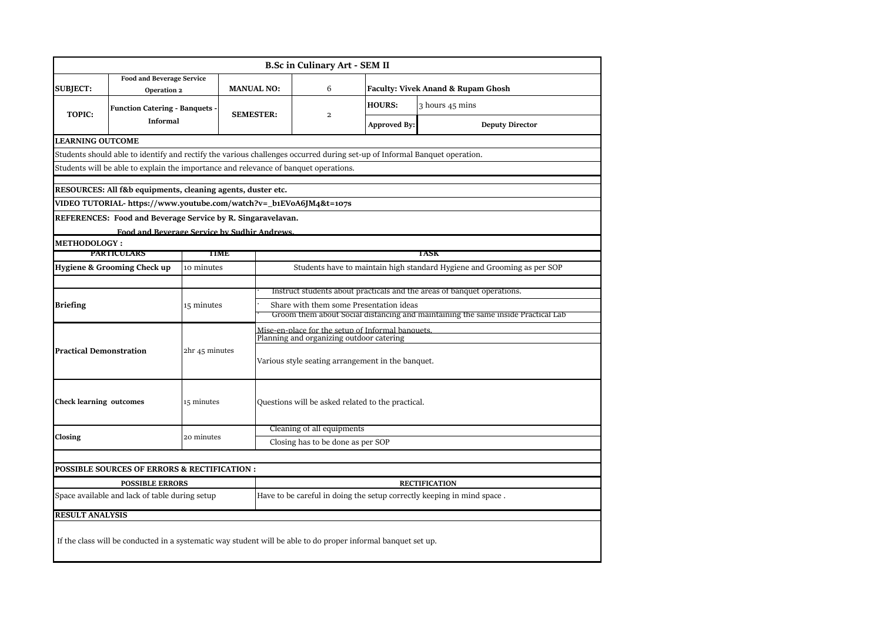|                                |                                                                                                                           |                |                                                    | <b>B.Sc in Culinary Art - SEM II</b>                                             |                     |                                                                         |  |  |  |  |
|--------------------------------|---------------------------------------------------------------------------------------------------------------------------|----------------|----------------------------------------------------|----------------------------------------------------------------------------------|---------------------|-------------------------------------------------------------------------|--|--|--|--|
| <b>SUBJECT:</b>                | <b>Food and Beverage Service</b><br>Operation 2                                                                           |                | <b>MANUAL NO:</b>                                  | 6                                                                                |                     | <b>Faculty: Vivek Anand &amp; Rupam Ghosh</b>                           |  |  |  |  |
| <b>TOPIC:</b>                  | <b>Function Catering - Banquets -</b>                                                                                     |                | <b>SEMESTER:</b>                                   | $\overline{\mathbf{c}}$                                                          | <b>HOURS:</b>       | 3 hours 45 mins                                                         |  |  |  |  |
|                                | <b>Informal</b>                                                                                                           |                |                                                    |                                                                                  | <b>Approved By:</b> | <b>Deputy Director</b>                                                  |  |  |  |  |
| <b>LEARNING OUTCOME</b>        |                                                                                                                           |                |                                                    |                                                                                  |                     |                                                                         |  |  |  |  |
|                                | Students should able to identify and rectify the various challenges occurred during set-up of Informal Banquet operation. |                |                                                    |                                                                                  |                     |                                                                         |  |  |  |  |
|                                | Students will be able to explain the importance and relevance of banquet operations.                                      |                |                                                    |                                                                                  |                     |                                                                         |  |  |  |  |
|                                | RESOURCES: All f&b equipments, cleaning agents, duster etc.                                                               |                |                                                    |                                                                                  |                     |                                                                         |  |  |  |  |
|                                | VIDEO TUTORIAL- https://www.youtube.com/watch?v=_b1EVoA6JM4&t=107s                                                        |                |                                                    |                                                                                  |                     |                                                                         |  |  |  |  |
|                                | REFERENCES: Food and Beverage Service by R. Singaravelavan.                                                               |                |                                                    |                                                                                  |                     |                                                                         |  |  |  |  |
|                                |                                                                                                                           |                | <b>Food and Reverage Service by Sudhir Andrews</b> |                                                                                  |                     |                                                                         |  |  |  |  |
| <b>METHODOLOGY :</b>           |                                                                                                                           |                |                                                    |                                                                                  |                     |                                                                         |  |  |  |  |
|                                | <b>PARTICULARS</b>                                                                                                        |                | TIME                                               |                                                                                  |                     | TASK                                                                    |  |  |  |  |
|                                | Hygiene & Grooming Check up                                                                                               | 10 minutes     |                                                    |                                                                                  |                     | Students have to maintain high standard Hygiene and Grooming as per SOP |  |  |  |  |
|                                |                                                                                                                           |                |                                                    |                                                                                  |                     |                                                                         |  |  |  |  |
|                                |                                                                                                                           |                |                                                    | Instruct students about practicals and the areas of banquet operations.          |                     |                                                                         |  |  |  |  |
| <b>Briefing</b>                |                                                                                                                           | 15 minutes     |                                                    | Share with them some Presentation ideas                                          |                     |                                                                         |  |  |  |  |
|                                |                                                                                                                           |                |                                                    | Groom them about Social distancing and maintaining the same inside Practical Lab |                     |                                                                         |  |  |  |  |
|                                |                                                                                                                           |                |                                                    | Mise-en-place for the setup of Informal banquets                                 |                     |                                                                         |  |  |  |  |
|                                |                                                                                                                           |                |                                                    | Planning and organizing outdoor catering                                         |                     |                                                                         |  |  |  |  |
| <b>Practical Demonstration</b> |                                                                                                                           | 2hr 45 minutes |                                                    | Various style seating arrangement in the banquet.                                |                     |                                                                         |  |  |  |  |
|                                |                                                                                                                           |                |                                                    |                                                                                  |                     |                                                                         |  |  |  |  |
| <b>Check learning outcomes</b> |                                                                                                                           | 15 minutes     |                                                    | Questions will be asked related to the practical.                                |                     |                                                                         |  |  |  |  |
|                                |                                                                                                                           |                |                                                    | Cleaning of all equipments                                                       |                     |                                                                         |  |  |  |  |
| Closing                        |                                                                                                                           | 20 minutes     |                                                    | Closing has to be done as per SOP                                                |                     |                                                                         |  |  |  |  |
|                                |                                                                                                                           |                |                                                    |                                                                                  |                     |                                                                         |  |  |  |  |
|                                | POSSIBLE SOURCES OF ERRORS & RECTIFICATION :                                                                              |                |                                                    |                                                                                  |                     |                                                                         |  |  |  |  |
|                                | <b>POSSIBLE ERRORS</b>                                                                                                    |                |                                                    |                                                                                  |                     | <b>RECTIFICATION</b>                                                    |  |  |  |  |
|                                | Space available and lack of table during setup                                                                            |                |                                                    |                                                                                  |                     | Have to be careful in doing the setup correctly keeping in mind space.  |  |  |  |  |
|                                |                                                                                                                           |                |                                                    |                                                                                  |                     |                                                                         |  |  |  |  |
| <b>RESULT ANALYSIS</b>         |                                                                                                                           |                |                                                    |                                                                                  |                     |                                                                         |  |  |  |  |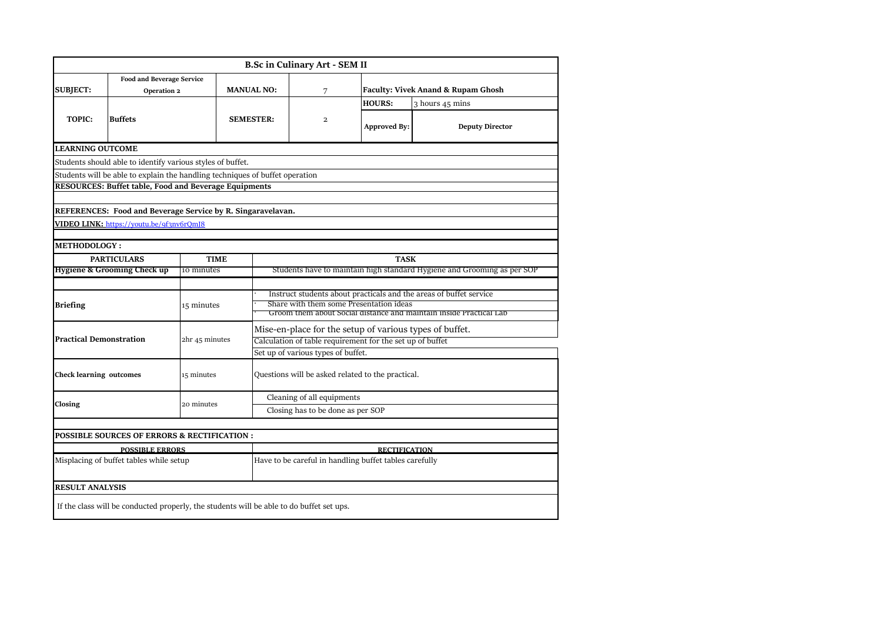|                                |                                                                                          |                           |                   |                                                                    | <b>B.Sc in Culinary Art - SEM II</b>              |                      |                                                                         |  |  |  |
|--------------------------------|------------------------------------------------------------------------------------------|---------------------------|-------------------|--------------------------------------------------------------------|---------------------------------------------------|----------------------|-------------------------------------------------------------------------|--|--|--|
| <b>SUBJECT:</b>                | <b>Food and Beverage Service</b><br>Operation 2                                          |                           | <b>MANUAL NO:</b> |                                                                    | 7                                                 |                      | Faculty: Vivek Anand & Rupam Ghosh                                      |  |  |  |
|                                |                                                                                          |                           |                   |                                                                    |                                                   | <b>HOURS:</b>        | 3 hours 45 mins                                                         |  |  |  |
| TOPIC:                         | <b>Buffets</b>                                                                           |                           | <b>SEMESTER:</b>  |                                                                    | $\mathbf{2}$                                      | <b>Approved By:</b>  | <b>Deputy Director</b>                                                  |  |  |  |
| <b>LEARNING OUTCOME</b>        |                                                                                          |                           |                   |                                                                    |                                                   |                      |                                                                         |  |  |  |
|                                | Students should able to identify various styles of buffet.                               |                           |                   |                                                                    |                                                   |                      |                                                                         |  |  |  |
|                                | Students will be able to explain the handling techniques of buffet operation             |                           |                   |                                                                    |                                                   |                      |                                                                         |  |  |  |
|                                | <b>RESOURCES: Buffet table, Food and Beverage Equipments</b>                             |                           |                   |                                                                    |                                                   |                      |                                                                         |  |  |  |
|                                |                                                                                          |                           |                   |                                                                    |                                                   |                      |                                                                         |  |  |  |
|                                | REFERENCES: Food and Beverage Service by R. Singaravelavan.                              |                           |                   |                                                                    |                                                   |                      |                                                                         |  |  |  |
|                                | VIDEO LINK: https://youtu.be/9f3nv6rQmJ8                                                 |                           |                   |                                                                    |                                                   |                      |                                                                         |  |  |  |
|                                |                                                                                          |                           |                   |                                                                    |                                                   |                      |                                                                         |  |  |  |
| <b>METHODOLOGY :</b>           |                                                                                          |                           |                   |                                                                    |                                                   |                      |                                                                         |  |  |  |
|                                | <b>PARTICULARS</b><br>Hygiene & Grooming Check up                                        | <b>TIME</b><br>10 minutes |                   |                                                                    |                                                   | <b>TASK</b>          | Students have to maintain high standard Hygiene and Grooming as per SOP |  |  |  |
|                                |                                                                                          |                           |                   |                                                                    |                                                   |                      |                                                                         |  |  |  |
|                                |                                                                                          |                           |                   |                                                                    |                                                   |                      | Instruct students about practicals and the areas of buffet service      |  |  |  |
| Briefing                       |                                                                                          | 15 minutes                |                   | Share with them some Presentation ideas                            |                                                   |                      |                                                                         |  |  |  |
|                                |                                                                                          |                           |                   | Groom them about Social distance and maintain inside Practical Lab |                                                   |                      |                                                                         |  |  |  |
|                                |                                                                                          |                           |                   | Mise-en-place for the setup of various types of buffet.            |                                                   |                      |                                                                         |  |  |  |
| Practical Demonstration        |                                                                                          | 2hr 45 minutes            |                   | Calculation of table requirement for the set up of buffet          |                                                   |                      |                                                                         |  |  |  |
|                                |                                                                                          |                           |                   | Set up of various types of buffet.                                 |                                                   |                      |                                                                         |  |  |  |
| <b>Check learning outcomes</b> |                                                                                          | 15 minutes                |                   |                                                                    | Questions will be asked related to the practical. |                      |                                                                         |  |  |  |
|                                |                                                                                          |                           |                   | Cleaning of all equipments                                         |                                                   |                      |                                                                         |  |  |  |
| Closing                        |                                                                                          | 20 minutes                |                   |                                                                    | Closing has to be done as per SOP                 |                      |                                                                         |  |  |  |
|                                |                                                                                          |                           |                   |                                                                    |                                                   |                      |                                                                         |  |  |  |
|                                | POSSIBLE SOURCES OF ERRORS & RECTIFICATION :                                             |                           |                   |                                                                    |                                                   |                      |                                                                         |  |  |  |
|                                | <b>POSSIBLE ERRORS</b>                                                                   |                           |                   |                                                                    |                                                   | <b>RECTIFICATION</b> |                                                                         |  |  |  |
|                                | Misplacing of buffet tables while setup                                                  |                           |                   | Have to be careful in handling buffet tables carefully             |                                                   |                      |                                                                         |  |  |  |
| <b>RESULT ANALYSIS</b>         |                                                                                          |                           |                   |                                                                    |                                                   |                      |                                                                         |  |  |  |
|                                | If the class will be conducted properly, the students will be able to do buffet set ups. |                           |                   |                                                                    |                                                   |                      |                                                                         |  |  |  |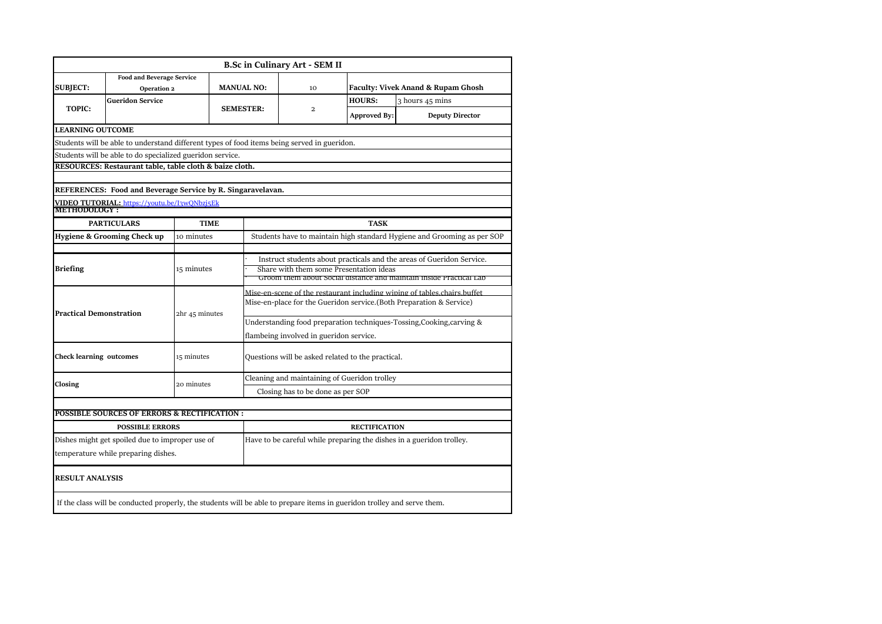|                                |                                                                                                                         |                |             |                                                                          | <b>B.Sc in Culinary Art - SEM II</b> |                                                   |                                                                         |  |  |
|--------------------------------|-------------------------------------------------------------------------------------------------------------------------|----------------|-------------|--------------------------------------------------------------------------|--------------------------------------|---------------------------------------------------|-------------------------------------------------------------------------|--|--|
|                                | <b>Food and Beverage Service</b>                                                                                        |                |             |                                                                          |                                      |                                                   |                                                                         |  |  |
| <b>SUBJECT:</b>                | Operation 2                                                                                                             |                |             | <b>MANUAL NO:</b>                                                        | 10                                   |                                                   | Faculty: Vivek Anand & Rupam Ghosh                                      |  |  |
|                                | <b>Gueridon Service</b>                                                                                                 |                |             |                                                                          |                                      | <b>HOURS:</b>                                     | 3 hours 45 mins                                                         |  |  |
| <b>TOPIC:</b>                  |                                                                                                                         |                |             | <b>SEMESTER:</b>                                                         | 2                                    | <b>Approved By:</b>                               | <b>Deputy Director</b>                                                  |  |  |
| <b>LEARNING OUTCOME</b>        |                                                                                                                         |                |             |                                                                          |                                      |                                                   |                                                                         |  |  |
|                                | Students will be able to understand different types of food items being served in gueridon.                             |                |             |                                                                          |                                      |                                                   |                                                                         |  |  |
|                                | Students will be able to do specialized gueridon service.                                                               |                |             |                                                                          |                                      |                                                   |                                                                         |  |  |
|                                | RESOURCES: Restaurant table, table cloth & baize cloth.                                                                 |                |             |                                                                          |                                      |                                                   |                                                                         |  |  |
|                                |                                                                                                                         |                |             |                                                                          |                                      |                                                   |                                                                         |  |  |
|                                | REFERENCES: Food and Beverage Service by R. Singaravelavan.                                                             |                |             |                                                                          |                                      |                                                   |                                                                         |  |  |
| METHODOLOGY:                   | VIDEO TUTORIAL: https://youtu.be/I3wQNbzi5Ek                                                                            |                |             |                                                                          |                                      |                                                   |                                                                         |  |  |
|                                | <b>PARTICULARS</b>                                                                                                      |                | <b>TIME</b> |                                                                          |                                      | <b>TASK</b>                                       |                                                                         |  |  |
|                                | Hygiene & Grooming Check up                                                                                             | 10 minutes     |             |                                                                          |                                      |                                                   | Students have to maintain high standard Hygiene and Grooming as per SOP |  |  |
|                                |                                                                                                                         |                |             |                                                                          |                                      |                                                   |                                                                         |  |  |
|                                |                                                                                                                         | 15 minutes     |             | Instruct students about practicals and the areas of Gueridon Service.    |                                      |                                                   |                                                                         |  |  |
| <b>Briefing</b>                |                                                                                                                         |                |             | Share with them some Presentation ideas                                  |                                      |                                                   |                                                                         |  |  |
|                                |                                                                                                                         |                |             |                                                                          |                                      |                                                   | Groom them about Social distance and maintain inside Practical Lab      |  |  |
|                                |                                                                                                                         |                |             | Mise-en-scene of the restaurant including wiping of tables chairs buffet |                                      |                                                   |                                                                         |  |  |
| <b>Practical Demonstration</b> |                                                                                                                         |                |             | Mise-en-place for the Gueridon service.(Both Preparation & Service)      |                                      |                                                   |                                                                         |  |  |
|                                |                                                                                                                         | 2hr 45 minutes |             | Understanding food preparation techniques-Tossing, Cooking, carving &    |                                      |                                                   |                                                                         |  |  |
|                                |                                                                                                                         |                |             | flambeing involved in gueridon service.                                  |                                      |                                                   |                                                                         |  |  |
|                                |                                                                                                                         |                |             |                                                                          |                                      |                                                   |                                                                         |  |  |
| <b>Check learning outcomes</b> |                                                                                                                         | 15 minutes     |             |                                                                          |                                      | Questions will be asked related to the practical. |                                                                         |  |  |
| Closing                        |                                                                                                                         | 20 minutes     |             | Cleaning and maintaining of Gueridon trolley                             |                                      |                                                   |                                                                         |  |  |
|                                |                                                                                                                         |                |             |                                                                          | Closing has to be done as per SOP    |                                                   |                                                                         |  |  |
|                                | <b>POSSIBLE SOURCES OF ERRORS &amp; RECTIFICATION :</b>                                                                 |                |             |                                                                          |                                      |                                                   |                                                                         |  |  |
|                                | <b>POSSIBLE ERRORS</b>                                                                                                  |                |             |                                                                          |                                      | <b>RECTIFICATION</b>                              |                                                                         |  |  |
|                                | Dishes might get spoiled due to improper use of                                                                         |                |             |                                                                          |                                      |                                                   |                                                                         |  |  |
|                                | temperature while preparing dishes.                                                                                     |                |             | Have to be careful while preparing the dishes in a gueridon trolley.     |                                      |                                                   |                                                                         |  |  |
|                                |                                                                                                                         |                |             |                                                                          |                                      |                                                   |                                                                         |  |  |
| <b>RESULT ANALYSIS</b>         |                                                                                                                         |                |             |                                                                          |                                      |                                                   |                                                                         |  |  |
|                                | If the class will be conducted properly, the students will be able to prepare items in gueridon trolley and serve them. |                |             |                                                                          |                                      |                                                   |                                                                         |  |  |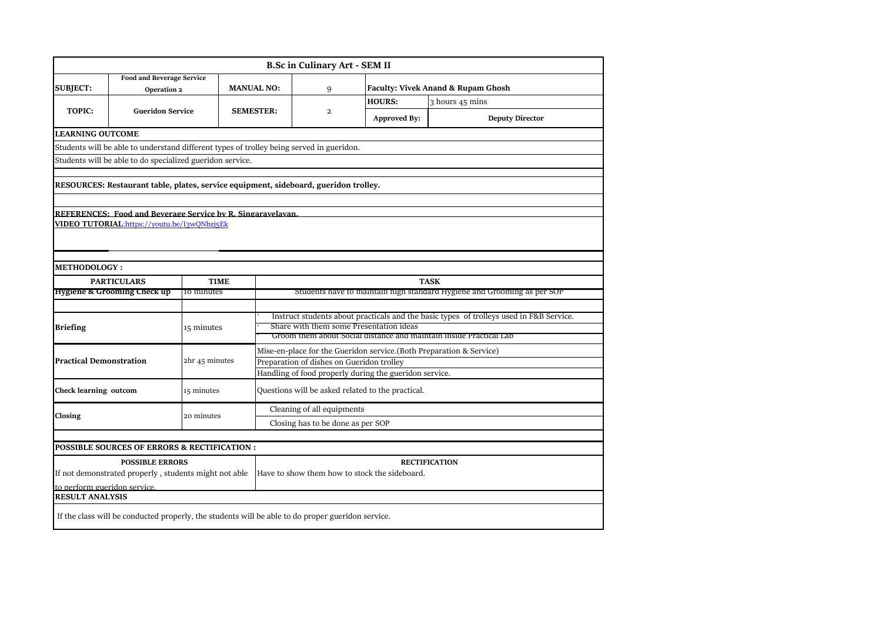|                                |                                                                                          |                |                   | <b>B.Sc in Culinary Art - SEM II</b> |                                                                     |                                                                                         |  |  |
|--------------------------------|------------------------------------------------------------------------------------------|----------------|-------------------|--------------------------------------|---------------------------------------------------------------------|-----------------------------------------------------------------------------------------|--|--|
| <b>SUBJECT:</b>                | <b>Food and Beverage Service</b>                                                         |                | <b>MANUAL NO:</b> | 9                                    | <b>Faculty: Vivek Anand &amp; Rupam Ghosh</b>                       |                                                                                         |  |  |
|                                | Operation 2                                                                              |                |                   |                                      | <b>HOURS:</b>                                                       | 3 hours 45 mins                                                                         |  |  |
| <b>TOPIC:</b>                  | <b>Gueridon Service</b>                                                                  |                | <b>SEMESTER:</b>  | 2                                    |                                                                     |                                                                                         |  |  |
|                                |                                                                                          |                |                   |                                      | <b>Approved By:</b>                                                 | <b>Deputy Director</b>                                                                  |  |  |
| <b>LEARNING OUTCOME</b>        |                                                                                          |                |                   |                                      |                                                                     |                                                                                         |  |  |
|                                | Students will be able to understand different types of trolley being served in gueridon. |                |                   |                                      |                                                                     |                                                                                         |  |  |
|                                | Students will be able to do specialized gueridon service.                                |                |                   |                                      |                                                                     |                                                                                         |  |  |
|                                |                                                                                          |                |                   |                                      |                                                                     |                                                                                         |  |  |
|                                | RESOURCES: Restaurant table, plates, service equipment, sideboard, gueridon trolley.     |                |                   |                                      |                                                                     |                                                                                         |  |  |
|                                |                                                                                          |                |                   |                                      |                                                                     |                                                                                         |  |  |
|                                | <b>REFERENCES: Food and Beverage Service by R. Singaravelavan.</b>                       |                |                   |                                      |                                                                     |                                                                                         |  |  |
|                                | VIDEO TUTORIAL:https://youtu.be/I3wQNbzj5Ek                                              |                |                   |                                      |                                                                     |                                                                                         |  |  |
|                                |                                                                                          |                |                   |                                      |                                                                     |                                                                                         |  |  |
|                                |                                                                                          |                |                   |                                      |                                                                     |                                                                                         |  |  |
|                                |                                                                                          |                |                   |                                      |                                                                     |                                                                                         |  |  |
|                                |                                                                                          |                |                   |                                      |                                                                     |                                                                                         |  |  |
| <b>METHODOLOGY :</b>           |                                                                                          |                |                   |                                      |                                                                     |                                                                                         |  |  |
|                                | <b>PARTICULARS</b>                                                                       | <b>TIME</b>    |                   |                                      |                                                                     | <b>TASK</b>                                                                             |  |  |
|                                | <b>Hygiene &amp; Grooming Check up</b>                                                   | 10 minutes     |                   |                                      |                                                                     | Students have to maintain high standard Hygiene and Grooming as per SOP                 |  |  |
|                                |                                                                                          |                |                   |                                      |                                                                     |                                                                                         |  |  |
| <b>Briefing</b>                |                                                                                          | 15 minutes     |                   |                                      | Share with them some Presentation ideas                             | Instruct students about practicals and the basic types of trolleys used in F&B Service. |  |  |
|                                |                                                                                          |                |                   |                                      |                                                                     | Groom them about Social distance and maintain inside Practical Lab                      |  |  |
|                                |                                                                                          |                |                   |                                      | Mise-en-place for the Gueridon service.(Both Preparation & Service) |                                                                                         |  |  |
| <b>Practical Demonstration</b> |                                                                                          | 2hr 45 minutes |                   |                                      | Preparation of dishes on Gueridon trolley                           |                                                                                         |  |  |
|                                |                                                                                          |                |                   |                                      | Handling of food properly during the gueridon service.              |                                                                                         |  |  |
| Check learning outcom          |                                                                                          | 15 minutes     |                   |                                      | Questions will be asked related to the practical.                   |                                                                                         |  |  |
|                                |                                                                                          |                |                   |                                      |                                                                     |                                                                                         |  |  |
| Closing                        |                                                                                          | 20 minutes     |                   | Cleaning of all equipments           |                                                                     |                                                                                         |  |  |
|                                |                                                                                          |                |                   | Closing has to be done as per SOP    |                                                                     |                                                                                         |  |  |
|                                |                                                                                          |                |                   |                                      |                                                                     |                                                                                         |  |  |
|                                | POSSIBLE SOURCES OF ERRORS & RECTIFICATION :                                             |                |                   |                                      |                                                                     |                                                                                         |  |  |
|                                | <b>POSSIBLE ERRORS</b>                                                                   |                |                   |                                      | Have to show them how to stock the sideboard.                       | <b>RECTIFICATION</b>                                                                    |  |  |
| to perform gueridon service.   | If not demonstrated properly, students might not able                                    |                |                   |                                      |                                                                     |                                                                                         |  |  |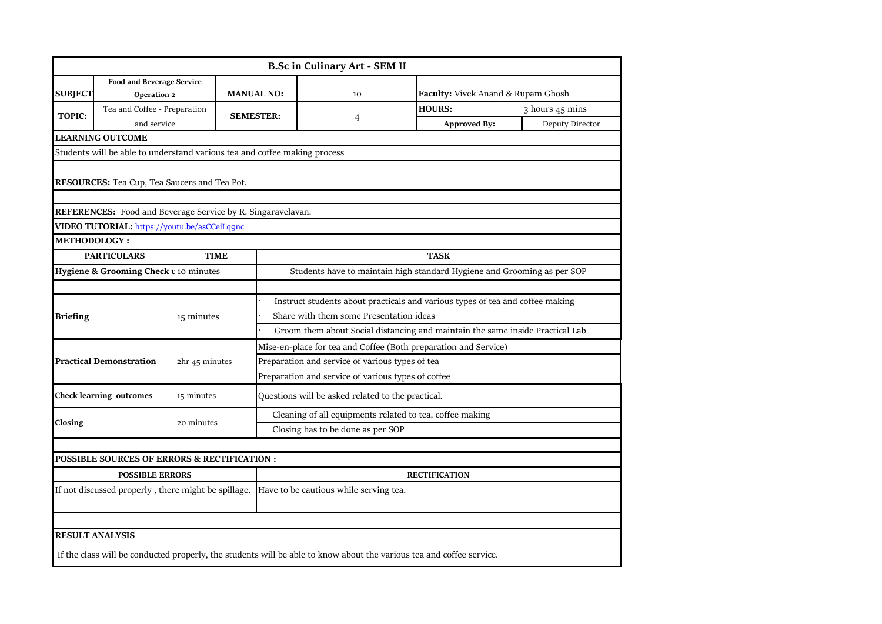|                     |                                                                           |                                  |                                                                 | <b>B.Sc in Culinary Art - SEM II</b>                                          |                                                                                                                      |                 |  |  |  |  |
|---------------------|---------------------------------------------------------------------------|----------------------------------|-----------------------------------------------------------------|-------------------------------------------------------------------------------|----------------------------------------------------------------------------------------------------------------------|-----------------|--|--|--|--|
|                     | <b>Food and Beverage Service</b>                                          |                                  |                                                                 |                                                                               |                                                                                                                      |                 |  |  |  |  |
| <b>SUBJECT</b>      |                                                                           | <b>MANUAL NO:</b><br>Operation 2 |                                                                 | 10                                                                            | Faculty: Vivek Anand & Rupam Ghosh                                                                                   |                 |  |  |  |  |
| <b>TOPIC:</b>       | Tea and Coffee - Preparation                                              |                                  | <b>SEMESTER:</b>                                                |                                                                               | <b>HOURS:</b>                                                                                                        | 3 hours 45 mins |  |  |  |  |
|                     | and service                                                               |                                  |                                                                 | 4                                                                             | <b>Approved By:</b>                                                                                                  | Deputy Director |  |  |  |  |
|                     | <b>LEARNING OUTCOME</b>                                                   |                                  |                                                                 |                                                                               |                                                                                                                      |                 |  |  |  |  |
|                     | Students will be able to understand various tea and coffee making process |                                  |                                                                 |                                                                               |                                                                                                                      |                 |  |  |  |  |
|                     |                                                                           |                                  |                                                                 |                                                                               |                                                                                                                      |                 |  |  |  |  |
|                     | RESOURCES: Tea Cup, Tea Saucers and Tea Pot.                              |                                  |                                                                 |                                                                               |                                                                                                                      |                 |  |  |  |  |
|                     |                                                                           |                                  |                                                                 |                                                                               |                                                                                                                      |                 |  |  |  |  |
|                     | <b>REFERENCES:</b> Food and Beverage Service by R. Singaravelavan.        |                                  |                                                                 |                                                                               |                                                                                                                      |                 |  |  |  |  |
|                     | VIDEO TUTORIAL: https://youtu.be/asCCeiLq9nc                              |                                  |                                                                 |                                                                               |                                                                                                                      |                 |  |  |  |  |
| <b>METHODOLOGY:</b> |                                                                           |                                  |                                                                 |                                                                               |                                                                                                                      |                 |  |  |  |  |
|                     | <b>PARTICULARS</b>                                                        | <b>TIME</b>                      |                                                                 |                                                                               | <b>TASK</b>                                                                                                          |                 |  |  |  |  |
|                     | Hygiene & Grooming Check u <sub>10</sub> minutes                          |                                  |                                                                 |                                                                               | Students have to maintain high standard Hygiene and Grooming as per SOP                                              |                 |  |  |  |  |
|                     |                                                                           |                                  |                                                                 |                                                                               |                                                                                                                      |                 |  |  |  |  |
|                     |                                                                           |                                  |                                                                 | Instruct students about practicals and various types of tea and coffee making |                                                                                                                      |                 |  |  |  |  |
| <b>Briefing</b>     |                                                                           | 15 minutes                       | Share with them some Presentation ideas                         |                                                                               |                                                                                                                      |                 |  |  |  |  |
|                     |                                                                           |                                  |                                                                 | Groom them about Social distancing and maintain the same inside Practical Lab |                                                                                                                      |                 |  |  |  |  |
|                     |                                                                           |                                  | Mise-en-place for tea and Coffee (Both preparation and Service) |                                                                               |                                                                                                                      |                 |  |  |  |  |
|                     | <b>Practical Demonstration</b>                                            | 2hr 45 minutes                   | Preparation and service of various types of tea                 |                                                                               |                                                                                                                      |                 |  |  |  |  |
|                     |                                                                           |                                  | Preparation and service of various types of coffee              |                                                                               |                                                                                                                      |                 |  |  |  |  |
|                     | <b>Check learning outcomes</b>                                            | 15 minutes                       |                                                                 | Questions will be asked related to the practical.                             |                                                                                                                      |                 |  |  |  |  |
|                     |                                                                           |                                  | Cleaning of all equipments related to tea, coffee making        |                                                                               |                                                                                                                      |                 |  |  |  |  |
| Closing             |                                                                           | 20 minutes                       | Closing has to be done as per SOP                               |                                                                               |                                                                                                                      |                 |  |  |  |  |
|                     |                                                                           |                                  |                                                                 |                                                                               |                                                                                                                      |                 |  |  |  |  |
|                     | <b>POSSIBLE SOURCES OF ERRORS &amp; RECTIFICATION :</b>                   |                                  |                                                                 |                                                                               |                                                                                                                      |                 |  |  |  |  |
|                     | <b>POSSIBLE ERRORS</b>                                                    |                                  |                                                                 |                                                                               | <b>RECTIFICATION</b>                                                                                                 |                 |  |  |  |  |
|                     | If not discussed properly, there might be spillage.                       |                                  |                                                                 | Have to be cautious while serving tea.                                        |                                                                                                                      |                 |  |  |  |  |
|                     |                                                                           |                                  |                                                                 |                                                                               |                                                                                                                      |                 |  |  |  |  |
|                     | <b>RESULT ANALYSIS</b>                                                    |                                  |                                                                 |                                                                               |                                                                                                                      |                 |  |  |  |  |
|                     |                                                                           |                                  |                                                                 |                                                                               | If the class will be conducted properly, the students will be able to know about the various tea and coffee service. |                 |  |  |  |  |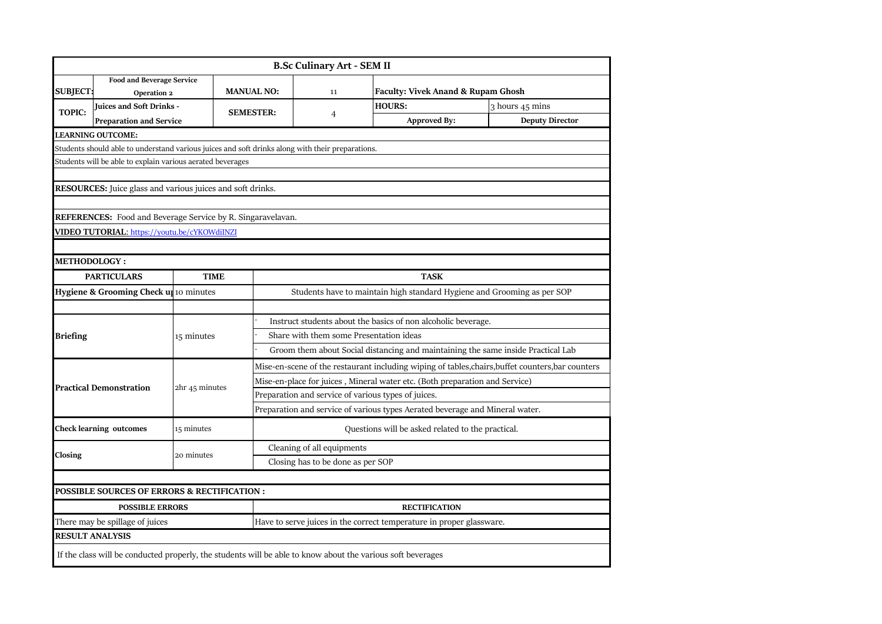|                                 |                                                                                                  |                |                                                   | <b>B.Sc Culinary Art - SEM II</b>                                                                 |                                                                                                             |                        |  |  |  |  |
|---------------------------------|--------------------------------------------------------------------------------------------------|----------------|---------------------------------------------------|---------------------------------------------------------------------------------------------------|-------------------------------------------------------------------------------------------------------------|------------------------|--|--|--|--|
| <b>SUBJECT:</b>                 | <b>Food and Beverage Service</b><br>Operation 2                                                  |                | <b>MANUAL NO:</b>                                 | 11                                                                                                | <b>Faculty: Vivek Anand &amp; Rupam Ghosh</b>                                                               |                        |  |  |  |  |
| <b>TOPIC:</b>                   | <b>Juices and Soft Drinks -</b>                                                                  |                | <b>SEMESTER:</b>                                  | 4                                                                                                 | <b>HOURS:</b>                                                                                               | 3 hours 45 mins        |  |  |  |  |
|                                 | <b>Preparation and Service</b>                                                                   |                |                                                   |                                                                                                   | <b>Approved By:</b>                                                                                         | <b>Deputy Director</b> |  |  |  |  |
|                                 | LEARNING OUTCOME:                                                                                |                |                                                   |                                                                                                   |                                                                                                             |                        |  |  |  |  |
|                                 | Students should able to understand various juices and soft drinks along with their preparations. |                |                                                   |                                                                                                   |                                                                                                             |                        |  |  |  |  |
|                                 | Students will be able to explain various aerated beverages                                       |                |                                                   |                                                                                                   |                                                                                                             |                        |  |  |  |  |
|                                 | <b>RESOURCES:</b> Juice glass and various juices and soft drinks.                                |                |                                                   |                                                                                                   |                                                                                                             |                        |  |  |  |  |
|                                 |                                                                                                  |                |                                                   |                                                                                                   |                                                                                                             |                        |  |  |  |  |
|                                 | REFERENCES: Food and Beverage Service by R. Singaravelavan.                                      |                |                                                   |                                                                                                   |                                                                                                             |                        |  |  |  |  |
|                                 | VIDEO TUTORIAL: https://youtu.be/cYKOWdiINZI                                                     |                |                                                   |                                                                                                   |                                                                                                             |                        |  |  |  |  |
|                                 |                                                                                                  |                |                                                   |                                                                                                   |                                                                                                             |                        |  |  |  |  |
| <b>METHODOLOGY:</b>             |                                                                                                  |                |                                                   |                                                                                                   |                                                                                                             |                        |  |  |  |  |
|                                 | <b>PARTICULARS</b>                                                                               | <b>TIME</b>    |                                                   | <b>TASK</b>                                                                                       |                                                                                                             |                        |  |  |  |  |
|                                 | Hygiene & Grooming Check up 10 minutes                                                           |                |                                                   | Students have to maintain high standard Hygiene and Grooming as per SOP                           |                                                                                                             |                        |  |  |  |  |
|                                 |                                                                                                  |                |                                                   |                                                                                                   |                                                                                                             |                        |  |  |  |  |
|                                 |                                                                                                  |                |                                                   | Instruct students about the basics of non alcoholic beverage.                                     |                                                                                                             |                        |  |  |  |  |
| <b>Briefing</b>                 |                                                                                                  | 15 minutes     |                                                   | Share with them some Presentation ideas                                                           |                                                                                                             |                        |  |  |  |  |
|                                 |                                                                                                  |                |                                                   | Groom them about Social distancing and maintaining the same inside Practical Lab                  |                                                                                                             |                        |  |  |  |  |
|                                 | <b>Practical Demonstration</b>                                                                   |                |                                                   | Mise-en-scene of the restaurant including wiping of tables, chairs, buffet counters, bar counters |                                                                                                             |                        |  |  |  |  |
|                                 |                                                                                                  | 2hr 45 minutes |                                                   | Mise-en-place for juices, Mineral water etc. (Both preparation and Service)                       |                                                                                                             |                        |  |  |  |  |
|                                 |                                                                                                  |                |                                                   | Preparation and service of various types of juices.                                               |                                                                                                             |                        |  |  |  |  |
|                                 |                                                                                                  |                |                                                   | Preparation and service of various types Aerated beverage and Mineral water.                      |                                                                                                             |                        |  |  |  |  |
|                                 | <b>Check learning outcomes</b>                                                                   | 15 minutes     | Questions will be asked related to the practical. |                                                                                                   |                                                                                                             |                        |  |  |  |  |
|                                 |                                                                                                  |                | Cleaning of all equipments                        |                                                                                                   |                                                                                                             |                        |  |  |  |  |
| Closing                         |                                                                                                  | 20 minutes     |                                                   | Closing has to be done as per SOP                                                                 |                                                                                                             |                        |  |  |  |  |
|                                 |                                                                                                  |                |                                                   |                                                                                                   |                                                                                                             |                        |  |  |  |  |
|                                 | POSSIBLE SOURCES OF ERRORS & RECTIFICATION :                                                     |                |                                                   |                                                                                                   |                                                                                                             |                        |  |  |  |  |
| <b>POSSIBLE ERRORS</b>          |                                                                                                  |                |                                                   | <b>RECTIFICATION</b>                                                                              |                                                                                                             |                        |  |  |  |  |
| There may be spillage of juices |                                                                                                  |                |                                                   | Have to serve juices in the correct temperature in proper glassware.                              |                                                                                                             |                        |  |  |  |  |
| <b>RESULT ANALYSIS</b>          |                                                                                                  |                |                                                   |                                                                                                   |                                                                                                             |                        |  |  |  |  |
|                                 |                                                                                                  |                |                                                   |                                                                                                   | If the class will be conducted properly, the students will be able to know about the various soft beverages |                        |  |  |  |  |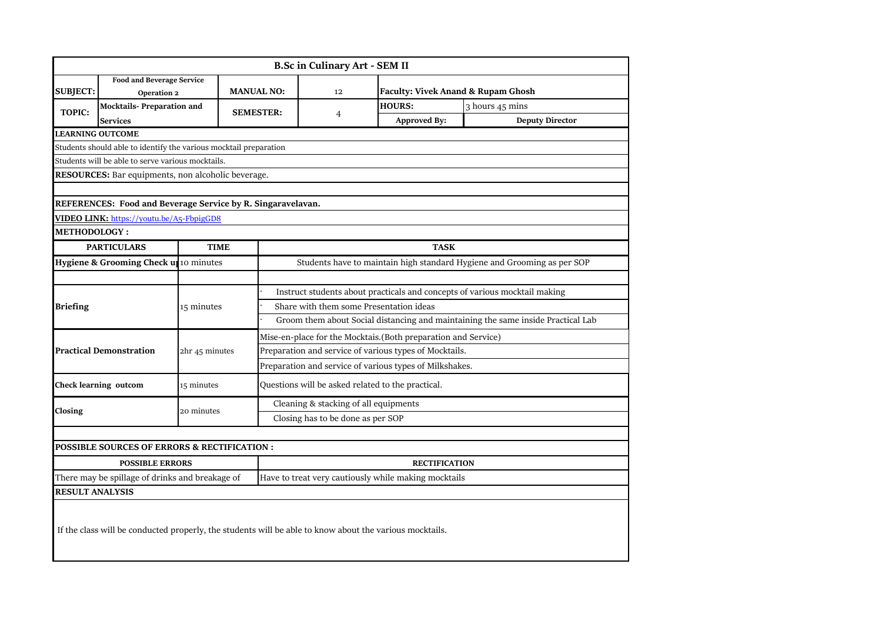|                                                                   | <b>B.Sc in Culinary Art - SEM II</b>                        |                |                                                                            |                                                         |                                                                                                         |                                                                                  |  |  |  |
|-------------------------------------------------------------------|-------------------------------------------------------------|----------------|----------------------------------------------------------------------------|---------------------------------------------------------|---------------------------------------------------------------------------------------------------------|----------------------------------------------------------------------------------|--|--|--|
| <b>SUBJECT:</b>                                                   | <b>Food and Beverage Service</b><br>Operation 2             |                | <b>MANUAL NO:</b>                                                          | 12                                                      | Faculty: Vivek Anand & Rupam Ghosh                                                                      |                                                                                  |  |  |  |
| <b>TOPIC:</b>                                                     | <b>Mocktails-Preparation and</b>                            |                | <b>SEMESTER:</b>                                                           | 4                                                       | <b>HOURS:</b><br><b>Approved By:</b>                                                                    | 3 hours 45 mins<br><b>Deputy Director</b>                                        |  |  |  |
|                                                                   | Services<br><b>EARNING OUTCOME</b>                          |                |                                                                            |                                                         |                                                                                                         |                                                                                  |  |  |  |
| Students should able to identify the various mocktail preparation |                                                             |                |                                                                            |                                                         |                                                                                                         |                                                                                  |  |  |  |
| Students will be able to serve various mocktails.                 |                                                             |                |                                                                            |                                                         |                                                                                                         |                                                                                  |  |  |  |
| RESOURCES: Bar equipments, non alcoholic beverage.                |                                                             |                |                                                                            |                                                         |                                                                                                         |                                                                                  |  |  |  |
|                                                                   |                                                             |                |                                                                            |                                                         |                                                                                                         |                                                                                  |  |  |  |
|                                                                   | REFERENCES: Food and Beverage Service by R. Singaravelavan. |                |                                                                            |                                                         |                                                                                                         |                                                                                  |  |  |  |
|                                                                   | VIDEO LINK: https://youtu.be/A5-FbpigGD8                    |                |                                                                            |                                                         |                                                                                                         |                                                                                  |  |  |  |
| <b>METHODOLOGY:</b>                                               |                                                             |                |                                                                            |                                                         |                                                                                                         |                                                                                  |  |  |  |
|                                                                   | <b>PARTICULARS</b>                                          | <b>TIME</b>    |                                                                            | <b>TASK</b>                                             |                                                                                                         |                                                                                  |  |  |  |
|                                                                   | Hygiene & Grooming Check up 10 minutes                      |                | Students have to maintain high standard Hygiene and Grooming as per SOP    |                                                         |                                                                                                         |                                                                                  |  |  |  |
|                                                                   |                                                             |                |                                                                            |                                                         |                                                                                                         |                                                                                  |  |  |  |
|                                                                   |                                                             |                | Instruct students about practicals and concepts of various mocktail making |                                                         |                                                                                                         |                                                                                  |  |  |  |
| <b>Briefing</b>                                                   |                                                             | 15 minutes     | Share with them some Presentation ideas                                    |                                                         |                                                                                                         |                                                                                  |  |  |  |
|                                                                   |                                                             |                |                                                                            |                                                         |                                                                                                         | Groom them about Social distancing and maintaining the same inside Practical Lab |  |  |  |
|                                                                   | <b>Practical Demonstration</b>                              | 2hr 45 minutes | Mise-en-place for the Mocktais.(Both preparation and Service)              |                                                         |                                                                                                         |                                                                                  |  |  |  |
|                                                                   |                                                             |                | Preparation and service of various types of Mocktails.                     |                                                         |                                                                                                         |                                                                                  |  |  |  |
|                                                                   |                                                             |                |                                                                            | Preparation and service of various types of Milkshakes. |                                                                                                         |                                                                                  |  |  |  |
|                                                                   | <b>Check learning outcom</b>                                | 15 minutes     | Questions will be asked related to the practical.                          |                                                         |                                                                                                         |                                                                                  |  |  |  |
| Closing                                                           |                                                             | 20 minutes     | Cleaning & stacking of all equipments                                      |                                                         |                                                                                                         |                                                                                  |  |  |  |
|                                                                   |                                                             |                | Closing has to be done as per SOP                                          |                                                         |                                                                                                         |                                                                                  |  |  |  |
|                                                                   |                                                             |                |                                                                            |                                                         |                                                                                                         |                                                                                  |  |  |  |
|                                                                   | <b>POSSIBLE SOURCES OF ERRORS &amp; RECTIFICATION:</b>      |                |                                                                            |                                                         |                                                                                                         |                                                                                  |  |  |  |
| <b>POSSIBLE ERRORS</b>                                            |                                                             |                |                                                                            | <b>RECTIFICATION</b>                                    |                                                                                                         |                                                                                  |  |  |  |
| There may be spillage of drinks and breakage of                   |                                                             |                | Have to treat very cautiously while making mocktails                       |                                                         |                                                                                                         |                                                                                  |  |  |  |
| <b>RESULT ANALYSIS</b>                                            |                                                             |                |                                                                            |                                                         |                                                                                                         |                                                                                  |  |  |  |
|                                                                   |                                                             |                |                                                                            |                                                         | If the class will be conducted properly, the students will be able to know about the various mocktails. |                                                                                  |  |  |  |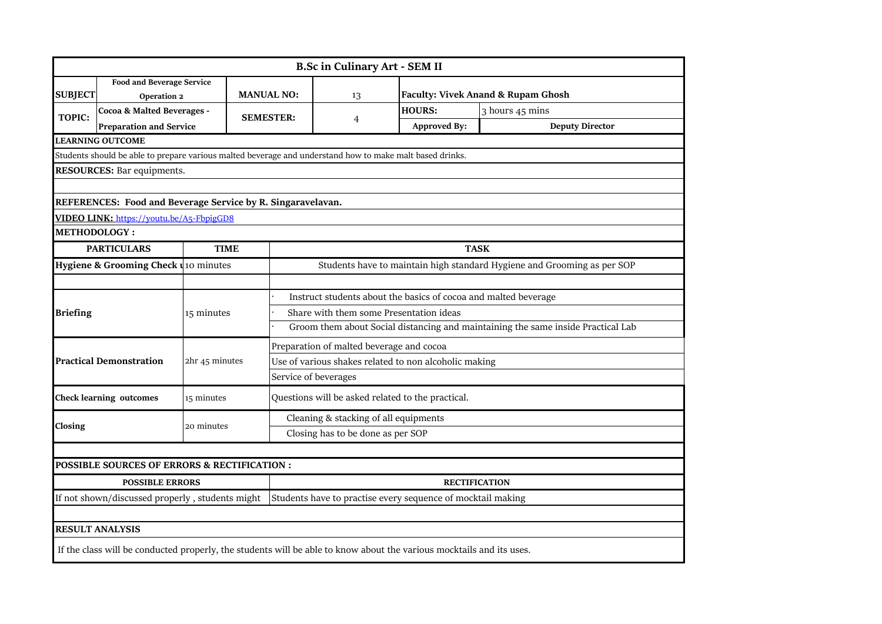|                        | <b>B.Sc in Culinary Art - SEM II</b>                                                                                 |                |                                                                 |                                                                                  |                     |                        |  |  |  |  |
|------------------------|----------------------------------------------------------------------------------------------------------------------|----------------|-----------------------------------------------------------------|----------------------------------------------------------------------------------|---------------------|------------------------|--|--|--|--|
| <b>SUBJECT</b>         | <b>Food and Beverage Service</b><br>Operation 2                                                                      |                | <b>MANUAL NO:</b>                                               | <b>Faculty: Vivek Anand &amp; Rupam Ghosh</b><br>13                              |                     |                        |  |  |  |  |
| <b>TOPIC:</b>          | Cocoa & Malted Beverages -                                                                                           |                | <b>SEMESTER:</b>                                                |                                                                                  | <b>HOURS:</b>       | 3 hours 45 mins        |  |  |  |  |
|                        | <b>Preparation and Service</b>                                                                                       |                |                                                                 | $\overline{4}$                                                                   | <b>Approved By:</b> | <b>Deputy Director</b> |  |  |  |  |
|                        | <b>LEARNING OUTCOME</b>                                                                                              |                |                                                                 |                                                                                  |                     |                        |  |  |  |  |
|                        | Students should be able to prepare various malted beverage and understand how to make malt based drinks.             |                |                                                                 |                                                                                  |                     |                        |  |  |  |  |
|                        | <b>RESOURCES:</b> Bar equipments.                                                                                    |                |                                                                 |                                                                                  |                     |                        |  |  |  |  |
|                        |                                                                                                                      |                |                                                                 |                                                                                  |                     |                        |  |  |  |  |
|                        | REFERENCES: Food and Beverage Service by R. Singaravelavan.                                                          |                |                                                                 |                                                                                  |                     |                        |  |  |  |  |
|                        | VIDEO LINK: https://youtu.be/A5-FbpigGD8                                                                             |                |                                                                 |                                                                                  |                     |                        |  |  |  |  |
| <b>METHODOLOGY:</b>    |                                                                                                                      |                |                                                                 |                                                                                  |                     |                        |  |  |  |  |
|                        | <b>PARTICULARS</b>                                                                                                   | <b>TIME</b>    |                                                                 | <b>TASK</b>                                                                      |                     |                        |  |  |  |  |
|                        | Hygiene & Grooming Check u <sub>10</sub> minutes                                                                     |                |                                                                 | Students have to maintain high standard Hygiene and Grooming as per SOP          |                     |                        |  |  |  |  |
|                        |                                                                                                                      |                |                                                                 |                                                                                  |                     |                        |  |  |  |  |
|                        |                                                                                                                      |                | Instruct students about the basics of cocoa and malted beverage |                                                                                  |                     |                        |  |  |  |  |
| <b>Briefing</b>        |                                                                                                                      | 15 minutes     | Share with them some Presentation ideas                         |                                                                                  |                     |                        |  |  |  |  |
|                        |                                                                                                                      |                |                                                                 | Groom them about Social distancing and maintaining the same inside Practical Lab |                     |                        |  |  |  |  |
|                        |                                                                                                                      |                | Preparation of malted beverage and cocoa                        |                                                                                  |                     |                        |  |  |  |  |
|                        | <b>Practical Demonstration</b>                                                                                       | 2hr 45 minutes | Use of various shakes related to non alcoholic making           |                                                                                  |                     |                        |  |  |  |  |
|                        |                                                                                                                      |                |                                                                 | Service of beverages                                                             |                     |                        |  |  |  |  |
|                        | <b>Check learning outcomes</b>                                                                                       | 15 minutes     | Questions will be asked related to the practical.               |                                                                                  |                     |                        |  |  |  |  |
|                        |                                                                                                                      |                | Cleaning & stacking of all equipments                           |                                                                                  |                     |                        |  |  |  |  |
| Closing                |                                                                                                                      | 20 minutes     |                                                                 | Closing has to be done as per SOP                                                |                     |                        |  |  |  |  |
|                        |                                                                                                                      |                |                                                                 |                                                                                  |                     |                        |  |  |  |  |
|                        | POSSIBLE SOURCES OF ERRORS & RECTIFICATION :                                                                         |                |                                                                 |                                                                                  |                     |                        |  |  |  |  |
| <b>POSSIBLE ERRORS</b> |                                                                                                                      |                | <b>RECTIFICATION</b>                                            |                                                                                  |                     |                        |  |  |  |  |
|                        | If not shown/discussed properly, students might                                                                      |                | Students have to practise every sequence of mocktail making     |                                                                                  |                     |                        |  |  |  |  |
|                        |                                                                                                                      |                |                                                                 |                                                                                  |                     |                        |  |  |  |  |
|                        | <b>RESULT ANALYSIS</b>                                                                                               |                |                                                                 |                                                                                  |                     |                        |  |  |  |  |
|                        | If the class will be conducted properly, the students will be able to know about the various mocktails and its uses. |                |                                                                 |                                                                                  |                     |                        |  |  |  |  |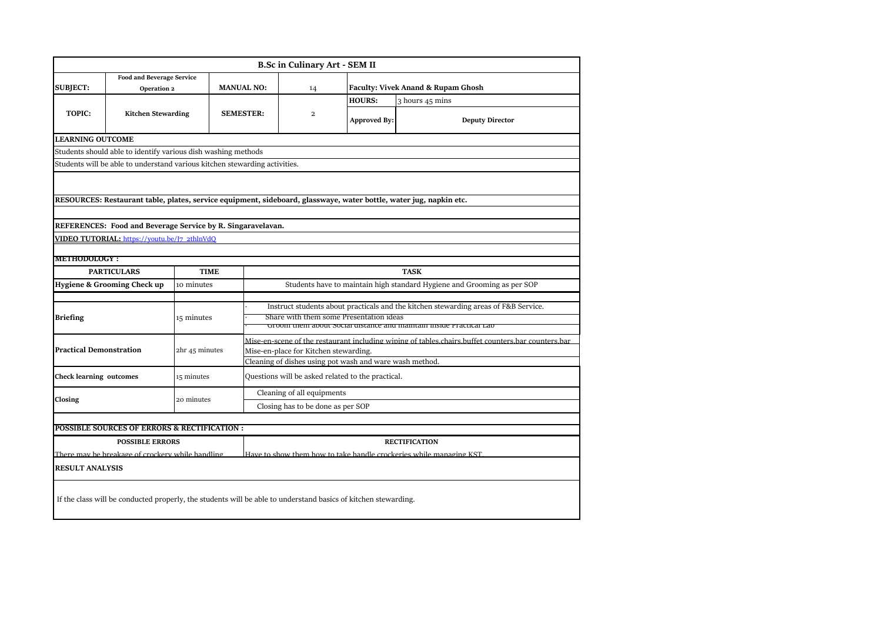|                                                                            |                                                                                                                |                |                   | <b>B.Sc in Culinary Art - SEM II</b>                                                               |                     |                                                                                                                    |  |  |  |
|----------------------------------------------------------------------------|----------------------------------------------------------------------------------------------------------------|----------------|-------------------|----------------------------------------------------------------------------------------------------|---------------------|--------------------------------------------------------------------------------------------------------------------|--|--|--|
| <b>Food and Beverage Service</b>                                           |                                                                                                                |                |                   |                                                                                                    |                     |                                                                                                                    |  |  |  |
| <b>SUBJECT:</b>                                                            | Operation 2                                                                                                    |                | <b>MANUAL NO:</b> | 14                                                                                                 |                     | Faculty: Vivek Anand & Rupam Ghosh                                                                                 |  |  |  |
|                                                                            |                                                                                                                |                |                   |                                                                                                    | <b>HOURS:</b>       | 3 hours 45 mins                                                                                                    |  |  |  |
| <b>TOPIC:</b>                                                              | <b>Kitchen Stewarding</b>                                                                                      |                | <b>SEMESTER:</b>  | $\overline{\mathbf{c}}$                                                                            | <b>Approved By:</b> | <b>Deputy Director</b>                                                                                             |  |  |  |
| <b>LEARNING OUTCOME</b>                                                    |                                                                                                                |                |                   |                                                                                                    |                     |                                                                                                                    |  |  |  |
|                                                                            | Students should able to identify various dish washing methods                                                  |                |                   |                                                                                                    |                     |                                                                                                                    |  |  |  |
|                                                                            | Students will be able to understand various kitchen stewarding activities.                                     |                |                   |                                                                                                    |                     |                                                                                                                    |  |  |  |
|                                                                            |                                                                                                                |                |                   |                                                                                                    |                     |                                                                                                                    |  |  |  |
|                                                                            |                                                                                                                |                |                   |                                                                                                    |                     | RESOURCES: Restaurant table, plates, service equipment, sideboard, glasswaye, water bottle, water jug, napkin etc. |  |  |  |
|                                                                            |                                                                                                                |                |                   |                                                                                                    |                     |                                                                                                                    |  |  |  |
|                                                                            | REFERENCES: Food and Beverage Service by R. Singaravelavan.                                                    |                |                   |                                                                                                    |                     |                                                                                                                    |  |  |  |
|                                                                            | VIDEO TUTORIAL: https://youtu.be/J7_2thlnVdQ                                                                   |                |                   |                                                                                                    |                     |                                                                                                                    |  |  |  |
|                                                                            |                                                                                                                |                |                   |                                                                                                    |                     |                                                                                                                    |  |  |  |
| <b>METHODOLOGY:</b>                                                        |                                                                                                                |                |                   |                                                                                                    |                     |                                                                                                                    |  |  |  |
| <b>PARTICULARS</b><br><b>TIME</b>                                          |                                                                                                                |                | <b>TASK</b>       |                                                                                                    |                     |                                                                                                                    |  |  |  |
|                                                                            | Hygiene & Grooming Check up                                                                                    | 10 minutes     |                   |                                                                                                    |                     | Students have to maintain high standard Hygiene and Grooming as per SOP                                            |  |  |  |
|                                                                            |                                                                                                                |                |                   | Instruct students about practicals and the kitchen stewarding areas of F&B Service.                |                     |                                                                                                                    |  |  |  |
| <b>Briefing</b>                                                            |                                                                                                                | 15 minutes     |                   | Share with them some Presentation ideas                                                            |                     |                                                                                                                    |  |  |  |
|                                                                            |                                                                                                                |                |                   | Groom them about social uistance and maintain inside Practical Lab                                 |                     |                                                                                                                    |  |  |  |
|                                                                            |                                                                                                                | 2hr 45 minutes |                   | Mise-en-scene of the restaurant including wiping of tables chairs buffet counters bar counters bar |                     |                                                                                                                    |  |  |  |
| <b>Practical Demonstration</b>                                             |                                                                                                                |                |                   | Mise-en-place for Kitchen stewarding.                                                              |                     |                                                                                                                    |  |  |  |
|                                                                            |                                                                                                                |                |                   | Cleaning of dishes using pot wash and ware wash method.                                            |                     |                                                                                                                    |  |  |  |
| <b>Check learning outcomes</b>                                             |                                                                                                                | 15 minutes     |                   | Questions will be asked related to the practical.                                                  |                     |                                                                                                                    |  |  |  |
|                                                                            |                                                                                                                |                |                   | Cleaning of all equipments                                                                         |                     |                                                                                                                    |  |  |  |
| Closing                                                                    |                                                                                                                | 20 minutes     |                   | Closing has to be done as per SOP                                                                  |                     |                                                                                                                    |  |  |  |
|                                                                            | POSSIBLE SOURCES OF ERRORS & RECTIFICATION :                                                                   |                |                   |                                                                                                    |                     |                                                                                                                    |  |  |  |
|                                                                            |                                                                                                                |                |                   |                                                                                                    |                     |                                                                                                                    |  |  |  |
| <b>POSSIBLE ERRORS</b><br>There may be breakage of crockery while handling |                                                                                                                |                |                   | <b>RECTIFICATION</b><br>Have to show them how to take handle crockeries while managing KST         |                     |                                                                                                                    |  |  |  |
| <b>RESULT ANALYSIS</b>                                                     |                                                                                                                |                |                   |                                                                                                    |                     |                                                                                                                    |  |  |  |
|                                                                            |                                                                                                                |                |                   |                                                                                                    |                     |                                                                                                                    |  |  |  |
|                                                                            | If the class will be conducted properly, the students will be able to understand basics of kitchen stewarding. |                |                   |                                                                                                    |                     |                                                                                                                    |  |  |  |